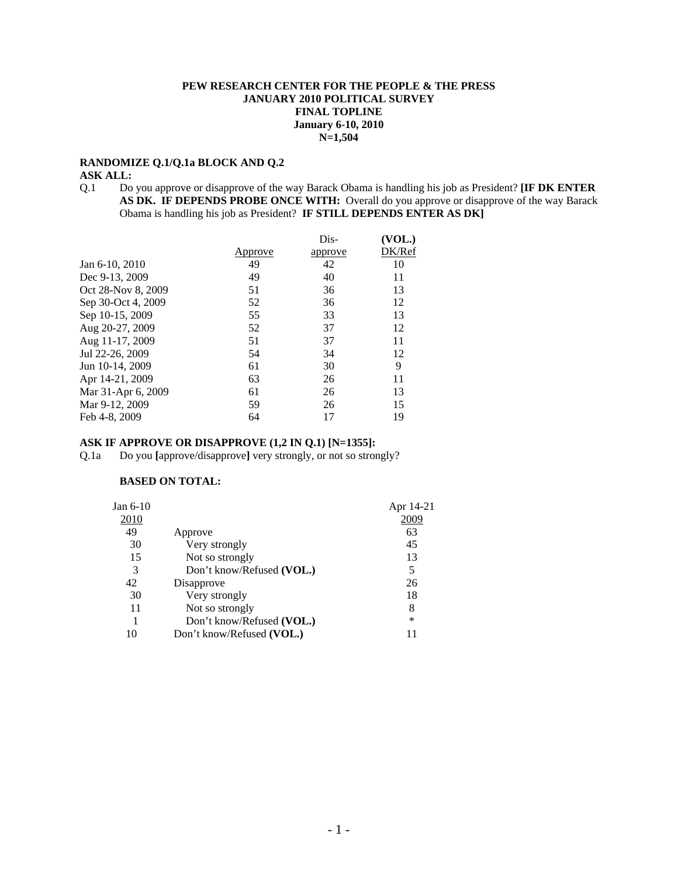## **PEW RESEARCH CENTER FOR THE PEOPLE & THE PRESS JANUARY 2010 POLITICAL SURVEY FINAL TOPLINE January 6-10, 2010 N=1,504**

### **RANDOMIZE Q.1/Q.1a BLOCK AND Q.2**

#### **ASK ALL:**

Q.1 Do you approve or disapprove of the way Barack Obama is handling his job as President? **[IF DK ENTER AS DK. IF DEPENDS PROBE ONCE WITH:** Overall do you approve or disapprove of the way Barack Obama is handling his job as President? **IF STILL DEPENDS ENTER AS DK]**

|                    |         | Dis-    | (VOL.) |
|--------------------|---------|---------|--------|
|                    | Approve | approve | DK/Ref |
| Jan 6-10, 2010     | 49      | 42      | 10     |
| Dec 9-13, 2009     | 49      | 40      | 11     |
| Oct 28-Nov 8, 2009 | 51      | 36      | 13     |
| Sep 30-Oct 4, 2009 | 52      | 36      | 12     |
| Sep 10-15, 2009    | 55      | 33      | 13     |
| Aug 20-27, 2009    | 52      | 37      | 12     |
| Aug 11-17, 2009    | 51      | 37      | 11     |
| Jul 22-26, 2009    | 54      | 34      | 12     |
| Jun 10-14, 2009    | 61      | 30      | 9      |
| Apr 14-21, 2009    | 63      | 26      | 11     |
| Mar 31-Apr 6, 2009 | 61      | 26      | 13     |
| Mar 9-12, 2009     | 59      | 26      | 15     |
| Feb 4-8, 2009      | 64      |         | 19     |

## **ASK IF APPROVE OR DISAPPROVE (1,2 IN Q.1) [N=1355]:**

Q.1a Do you **[**approve/disapprove**]** very strongly, or not so strongly?

# **BASED ON TOTAL:**

| Jan $6-10$ |                           | Apr 14-21 |
|------------|---------------------------|-----------|
| 2010       |                           | 2009      |
| 49         | Approve                   | 63        |
| 30         | Very strongly             | 45        |
| 15         | Not so strongly           | 13        |
| 3          | Don't know/Refused (VOL.) | 5         |
| 42         | Disapprove                | 26        |
| 30         | Very strongly             | 18        |
| 11         | Not so strongly           | 8         |
|            | Don't know/Refused (VOL.) | *         |
| 10         | Don't know/Refused (VOL.) | 11        |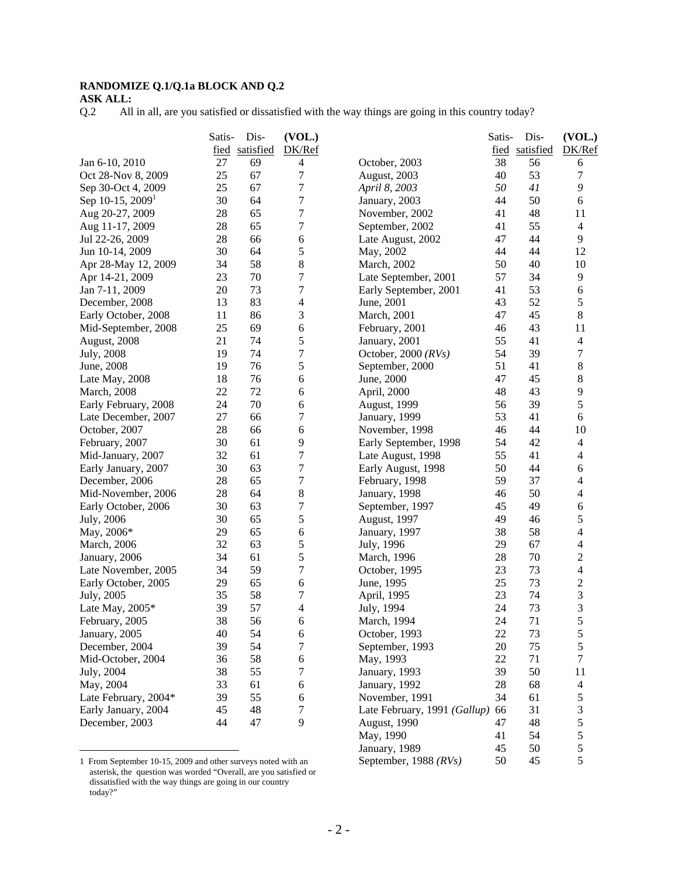# **RANDOMIZE Q.1/Q.1a BLOCK AND Q.2**

**ASK ALL:** 

Q.2 All in all, are you satisfied or dissatisfied with the way things are going in this country today?

|                              | Satis- | Dis-           | (VOL.)           |                              | Satis- | Dis-           | (VOL.)           |
|------------------------------|--------|----------------|------------------|------------------------------|--------|----------------|------------------|
|                              |        | fied satisfied | DK/Ref           |                              |        | fied satisfied | DK/Ref           |
| Jan 6-10, 2010               | 27     | 69             | 4                | October, 2003                | 38     | 56             | 6                |
| Oct 28-Nov 8, 2009           | 25     | 67             | 7                | August, 2003                 | 40     | 53             | 7                |
| Sep 30-Oct 4, 2009           | 25     | 67             | $\overline{7}$   | April 8, 2003                | 50     | 41             | 9                |
| Sep 10-15, 2009 <sup>1</sup> | 30     | 64             | 7                | January, 2003                | 44     | 50             | 6                |
| Aug 20-27, 2009              | 28     | 65             | 7                | November, 2002               | 41     | 48             | 11               |
| Aug 11-17, 2009              | 28     | 65             | 7                | September, 2002              | 41     | 55             | $\overline{4}$   |
| Jul 22-26, 2009              | 28     | 66             | 6                | Late August, 2002            | 47     | 44             | 9                |
| Jun 10-14, 2009              | 30     | 64             | 5                | May, 2002                    | 44     | 44             | 12               |
| Apr 28-May 12, 2009          | 34     | 58             | 8                | March, 2002                  | 50     | 40             | 10               |
| Apr 14-21, 2009              | 23     | 70             | $\overline{7}$   | Late September, 2001         | 57     | 34             | 9                |
| Jan 7-11, 2009               | 20     | 73             | 7                | Early September, 2001        | 41     | 53             | 6                |
| December, 2008               | 13     | 83             | 4                | June, 2001                   | 43     | 52             | $\sqrt{5}$       |
| Early October, 2008          | 11     | 86             | 3                | March, 2001                  | 47     | 45             | $\,8\,$          |
| Mid-September, 2008          | 25     | 69             | 6                | February, 2001               | 46     | 43             | 11               |
| August, 2008                 | 21     | 74             | 5                | January, 2001                | 55     | 41             | 4                |
| July, 2008                   | 19     | 74             | 7                | October, 2000 $(RVs)$        | 54     | 39             | $\tau$           |
| June, 2008                   | 19     | 76             | 5                | September, 2000              | 51     | 41             | 8                |
| Late May, 2008               | 18     | 76             | 6                | June, 2000                   | 47     | 45             | 8                |
| <b>March</b> , 2008          | 22     | 72             | 6                | April, 2000                  | 48     | 43             | 9                |
| Early February, 2008         | 24     | 70             | 6                | <b>August</b> , 1999         | 56     | 39             | $\sqrt{5}$       |
| Late December, 2007          | 27     | 66             | 7                | January, 1999                | 53     | 41             | 6                |
| October, 2007                | 28     | 66             | 6                | November, 1998               | 46     | 44             | 10               |
| February, 2007               | 30     | 61             | 9                | Early September, 1998        | 54     | 42             | $\overline{4}$   |
| Mid-January, 2007            | 32     | 61             | 7                | Late August, 1998            | 55     | 41             | $\overline{4}$   |
| Early January, 2007          | 30     | 63             | $\boldsymbol{7}$ | Early August, 1998           | 50     | 44             | 6                |
| December, 2006               | 28     | 65             | $\boldsymbol{7}$ | February, 1998               | 59     | 37             | $\overline{4}$   |
| Mid-November, 2006           | 28     | 64             | 8                | January, 1998                | 46     | 50             | 4                |
| Early October, 2006          | 30     | 63             | $\overline{7}$   | September, 1997              | 45     | 49             | 6                |
| July, 2006                   | 30     | 65             | 5                | August, 1997                 | 49     | 46             | 5                |
| May, 2006*                   | 29     | 65             | 6                | January, 1997                | 38     | 58             | $\overline{4}$   |
| <b>March</b> , 2006          | 32     | 63             | 5                | July, 1996                   | 29     | 67             | $\overline{4}$   |
| January, 2006                | 34     | 61             | 5                | March, 1996                  | 28     | 70             | $\sqrt{2}$       |
| Late November, 2005          | 34     | 59             | 7                | October, 1995                | 23     | 73             | $\overline{4}$   |
| Early October, 2005          | 29     | 65             | 6                | June, 1995                   | 25     | 73             | $\overline{2}$   |
| July, 2005                   | 35     | 58             | 7                | April, 1995                  | 23     | 74             | 3                |
| Late May, $2005*$            | 39     | 57             | 4                | July, 1994                   | 24     | 73             | $\mathfrak 3$    |
| February, 2005               | 38     | 56             | 6                | March, 1994                  | 24     | 71             | 5                |
| January, 2005                | 40     | 54             | 6                | October, 1993                | 22     | 73             | $\sqrt{5}$       |
| December, 2004               | 39     | 54             | $\boldsymbol{7}$ | September, 1993              | 20     | 75             | 5                |
| Mid-October, 2004            | 36     | 58             | $\sqrt{6}$       | May, 1993                    | 22     | 71             | $\boldsymbol{7}$ |
| July, 2004                   | 38     | 55             | 7                | January, 1993                | 39     | 50             | 11               |
| May, 2004                    | 33     | 61             | $\sqrt{6}$       | January, 1992                | 28     | 68             | $\overline{4}$   |
| Late February, 2004*         | 39     | 55             | 6                | November, 1991               | 34     | 61             | $\sqrt{5}$       |
| Early January, 2004          | 45     | 48             | 7                | Late February, 1991 (Gallup) | 66     | 31             | $\overline{3}$   |
| December, 2003               | 44     | 47             | 9                | August, 1990                 | 47     | 48             | 5                |
|                              |        |                |                  | May, 1990                    | 41     | 54             | $\sqrt{5}$       |

<sup>1</sup> From September 10-15, 2009 and other surveys noted with an asterisk, the question was worded "Overall, are you satisfied or dissatisfied with the way things are going in our country today?"

 $\overline{a}$ 

January, 1989 45 50 5<br>September, 1988 (*RVs*) 50 45 5

September, 1988 *(RVs)*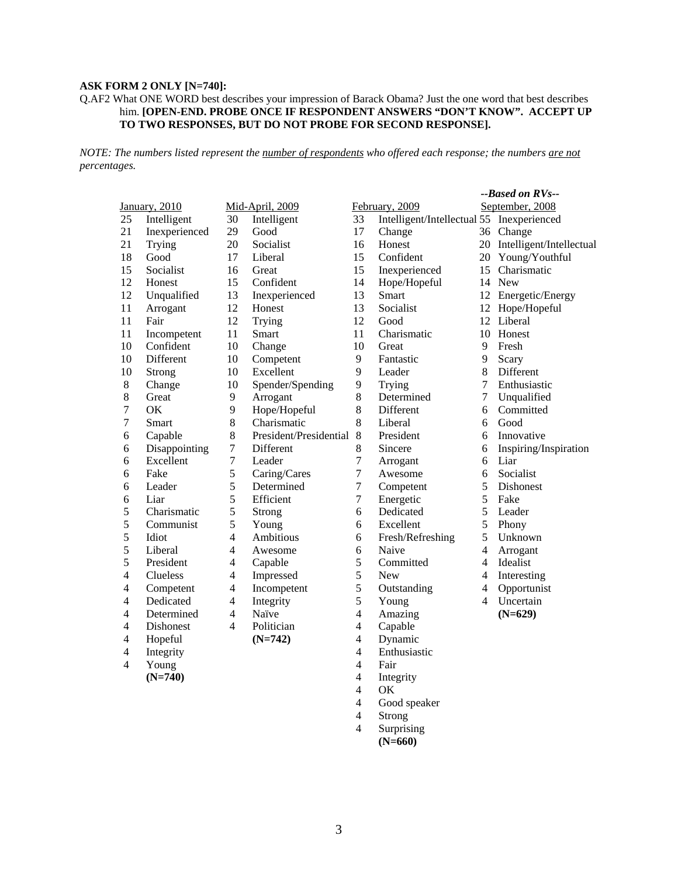# **ASK FORM 2 ONLY [N=740]:**

#### Q.AF2 What ONE WORD best describes your impression of Barack Obama? Just the one word that best describes him. **[OPEN-END. PROBE ONCE IF RESPONDENT ANSWERS "DON'T KNOW". ACCEPT UP TO TWO RESPONSES, BUT DO NOT PROBE FOR SECOND RESPONSE].**

*NOTE: The numbers listed represent the number of respondents who offered each response; the numbers are not percentages.*

|                         |               |                  |                        |                          |                                           |                | --Based on RVs--            |
|-------------------------|---------------|------------------|------------------------|--------------------------|-------------------------------------------|----------------|-----------------------------|
|                         | January, 2010 |                  | Mid-April, 2009        |                          | February, 2009                            |                | September, 2008             |
| 25                      | Intelligent   | 30               | Intelligent            | 33                       | Intelligent/Intellectual 55 Inexperienced |                |                             |
| 21                      | Inexperienced | 29               | Good                   | 17                       | Change                                    |                | 36 Change                   |
| 21                      | Trying        | 20               | Socialist              | 16                       | Honest                                    |                | 20 Intelligent/Intellectual |
| 18                      | Good          | 17               | Liberal                | 15                       | Confident                                 |                | 20 Young/Youthful           |
| 15                      | Socialist     | 16               | Great                  | 15                       | Inexperienced                             | 15             | Charismatic                 |
| 12                      | Honest        | 15               | Confident              | 14                       | Hope/Hopeful                              |                | 14 New                      |
| 12                      | Unqualified   | 13               | Inexperienced          | 13                       | Smart                                     |                | 12 Energetic/Energy         |
| 11                      | Arrogant      | 12               | Honest                 | 13                       | Socialist                                 |                | 12 Hope/Hopeful             |
| 11                      | Fair          | 12               | Trying                 | 12                       | Good                                      |                | 12 Liberal                  |
| 11                      | Incompetent   | 11               | Smart                  | 11                       | Charismatic                               | 10             | Honest                      |
| 10                      | Confident     | 10               | Change                 | 10                       | Great                                     | 9              | Fresh                       |
| 10                      | Different     | 10               | Competent              | 9                        | Fantastic                                 | 9              | Scary                       |
| 10                      | Strong        | 10               | Excellent              | 9                        | Leader                                    | 8              | Different                   |
| $8\,$                   | Change        | 10               | Spender/Spending       | $\overline{9}$           | Trying                                    | $\overline{7}$ | Enthusiastic                |
| $8\,$                   | Great         | 9                | Arrogant               | $\,8\,$                  | Determined                                | $\overline{7}$ | Unqualified                 |
| $\boldsymbol{7}$        | OK            | 9                | Hope/Hopeful           | 8                        | Different                                 | 6              | Committed                   |
| $\boldsymbol{7}$        | Smart         | $\,8\,$          | Charismatic            | 8                        | Liberal                                   | 6              | Good                        |
| 6                       | Capable       | 8                | President/Presidential | 8                        | President                                 | 6              | Innovative                  |
| 6                       | Disappointing | $\boldsymbol{7}$ | Different              | $8\,$                    | Sincere                                   | 6              | Inspiring/Inspiration       |
| 6                       | Excellent     | $\overline{7}$   | Leader                 | $\tau$                   | Arrogant                                  | 6              | Liar                        |
| 6                       | Fake          | $\sqrt{5}$       | Caring/Cares           | $\boldsymbol{7}$         | Awesome                                   | 6              | Socialist                   |
| $\epsilon$              | Leader        | 5                | Determined             | $\boldsymbol{7}$         | Competent                                 | 5              | Dishonest                   |
| $\epsilon$              | Liar          | 5                | Efficient              | $\boldsymbol{7}$         | Energetic                                 | 5              | Fake                        |
| 5                       | Charismatic   | 5                | Strong                 | 6                        | Dedicated                                 | 5              | Leader                      |
| 5                       | Communist     | 5                | Young                  | 6                        | Excellent                                 | 5              | Phony                       |
| 5                       | Idiot         | $\overline{4}$   | Ambitious              | 6                        | Fresh/Refreshing                          | 5              | Unknown                     |
| 5                       | Liberal       | 4                | Awesome                | 6                        | Naive                                     | 4              | Arrogant                    |
| 5                       | President     | $\overline{4}$   | Capable                | 5                        | Committed                                 | 4              | Idealist                    |
| $\overline{4}$          | Clueless      | $\overline{4}$   | Impressed              | 5                        | <b>New</b>                                | 4              | Interesting                 |
| $\overline{\mathbf{4}}$ | Competent     | $\overline{4}$   | Incompetent            | $\sqrt{5}$               | Outstanding                               | $\overline{4}$ | Opportunist                 |
| $\overline{4}$          | Dedicated     | $\overline{4}$   | Integrity              | 5                        | Young                                     | 4              | Uncertain                   |
| $\overline{4}$          | Determined    | $\overline{4}$   | Naïve                  | $\overline{4}$           | Amazing                                   |                | $(N=629)$                   |
| $\overline{4}$          | Dishonest     | $\overline{4}$   | Politician             | $\overline{4}$           | Capable                                   |                |                             |
| $\overline{4}$          | Hopeful       |                  | $(N=742)$              | $\overline{4}$           | Dynamic                                   |                |                             |
| $\overline{4}$          | Integrity     |                  |                        | $\overline{\mathcal{L}}$ | Enthusiastic                              |                |                             |
| 4                       | Young         |                  |                        | 4                        | Fair                                      |                |                             |
|                         | $(N=740)$     |                  |                        | 4                        | Integrity                                 |                |                             |
|                         |               |                  |                        | $\overline{4}$           | OK                                        |                |                             |

- 
- 4 Good speaker Strong<sup>1</sup>
- 4 Surprising
- **(N=660)**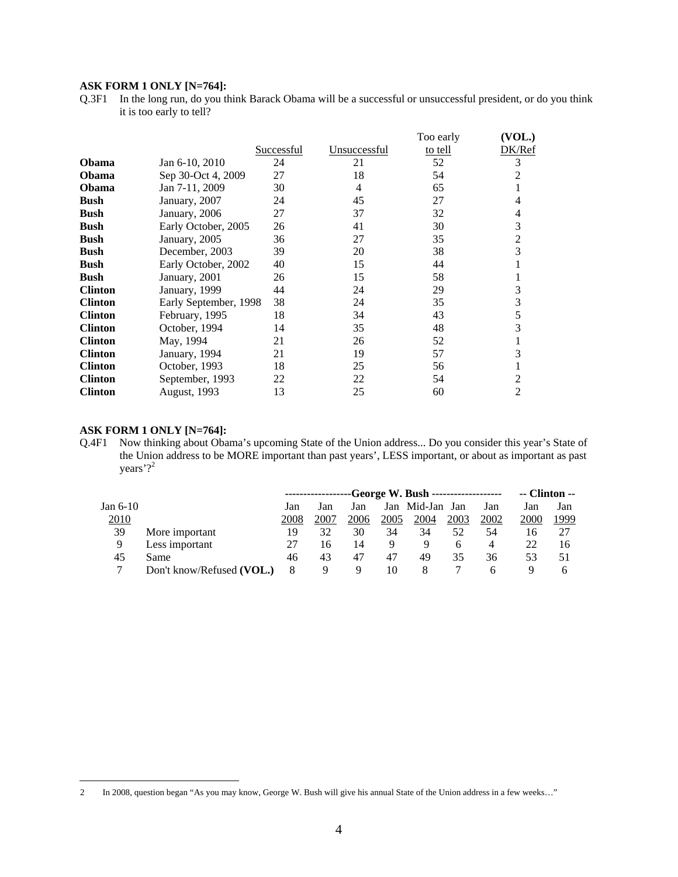## **ASK FORM 1 ONLY [N=764]:**

Q.3F1 In the long run, do you think Barack Obama will be a successful or unsuccessful president, or do you think it is too early to tell?

|                |                       |                   |              | Too early | (VOL.)         |
|----------------|-----------------------|-------------------|--------------|-----------|----------------|
|                |                       | <b>Successful</b> | Unsuccessful | to tell   | DK/Ref         |
| <b>Obama</b>   | Jan 6-10, 2010        | 24                | 21           | 52        | 3              |
| Obama          | Sep 30-Oct 4, 2009    | 27                | 18           | 54        | 2              |
| <b>Obama</b>   | Jan 7-11, 2009        | 30                | 4            | 65        |                |
| <b>Bush</b>    | January, 2007         | 24                | 45           | 27        | 4              |
| <b>Bush</b>    | January, 2006         | 27                | 37           | 32        | 4              |
| <b>Bush</b>    | Early October, 2005   | 26                | 41           | 30        | 3              |
| <b>Bush</b>    | January, 2005         | 36                | 27           | 35        | $\overline{2}$ |
| Bush           | December, 2003        | 39                | 20           | 38        | 3              |
| <b>Bush</b>    | Early October, 2002   | 40                | 15           | 44        |                |
| <b>Bush</b>    | January, 2001         | 26                | 15           | 58        |                |
| <b>Clinton</b> | January, 1999         | 44                | 24           | 29        | 3              |
| <b>Clinton</b> | Early September, 1998 | 38                | 24           | 35        | 3              |
| <b>Clinton</b> | February, 1995        | 18                | 34           | 43        |                |
| <b>Clinton</b> | October, 1994         | 14                | 35           | 48        | 3              |
| <b>Clinton</b> | May, 1994             | 21                | 26           | 52        |                |
| <b>Clinton</b> | January, 1994         | 21                | 19           | 57        | 3              |
| <b>Clinton</b> | October, 1993         | 18                | 25           | 56        |                |
| <b>Clinton</b> | September, 1993       | 22                | 22           | 54        | 2              |
| <b>Clinton</b> | August, 1993          | 13                | 25           | 60        | $\overline{2}$ |

#### **ASK FORM 1 ONLY [N=764]:**

Q.4F1 Now thinking about Obama's upcoming State of the Union address... Do you consider this year's State of the Union address to be MORE important than past years', LESS important, or about as important as past years'?<sup>2</sup>

|             |                           |      |      |      |      | ----George W. Bush ------------------- |      |      | $-$ Clinton $-$ |      |
|-------------|---------------------------|------|------|------|------|----------------------------------------|------|------|-----------------|------|
| Jan 6-10    |                           | Jan  | Jan  | Jan  |      | Jan Mid-Jan                            | Jan  | Jan  | Jan             | Jan  |
| <u>2010</u> |                           | 2008 | 2007 | 2006 | 2005 | 2004                                   | 2003 | 2002 | 2000            | 1999 |
| 39          | More important            | 19   | 32   | 30   | 34   | 34                                     | 52   | 54   | 16              |      |
|             | Less important            |      | 16   | 14   | Q    | 9                                      | h    | 4    | 22              | 16   |
| 45          | Same                      | 46   | 43   | 47   | 47   | 49                                     | 35   | 36   | 53              | 51   |
|             | Don't know/Refused (VOL.) | 8    | 9    | 9    | 10   | 8                                      |      |      | Ч               | n    |

 $\overline{c}$ 2 In 2008, question began "As you may know, George W. Bush will give his annual State of the Union address in a few weeks…"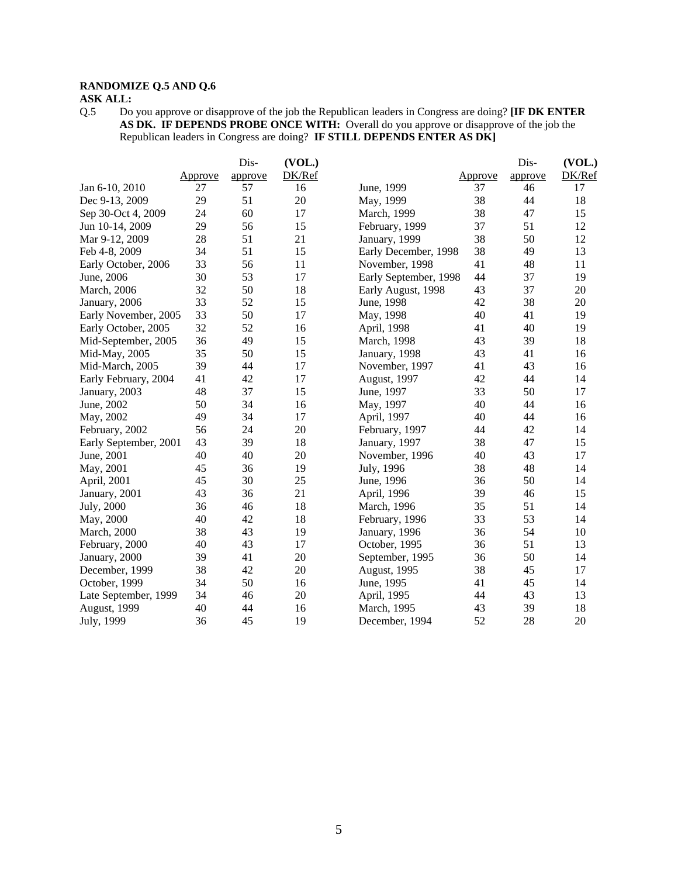# **RANDOMIZE Q.5 AND Q.6**

# **ASK ALL:**

Q.5 Do you approve or disapprove of the job the Republican leaders in Congress are doing? **[IF DK ENTER AS DK. IF DEPENDS PROBE ONCE WITH:** Overall do you approve or disapprove of the job the Republican leaders in Congress are doing? **IF STILL DEPENDS ENTER AS DK]** 

|                       |         | Dis-    | (VOL.) |                       |         | Dis-    | (VOL.) |
|-----------------------|---------|---------|--------|-----------------------|---------|---------|--------|
|                       | Approve | approve | DK/Ref |                       | Approve | approve | DK/Ref |
| Jan 6-10, 2010        | 27      | 57      | 16     | June, 1999            | 37      | 46      | 17     |
| Dec 9-13, 2009        | 29      | 51      | 20     | May, 1999             | 38      | 44      | 18     |
| Sep 30-Oct 4, 2009    | 24      | 60      | 17     | March, 1999           | 38      | 47      | 15     |
| Jun 10-14, 2009       | 29      | 56      | 15     | February, 1999        | 37      | 51      | 12     |
| Mar 9-12, 2009        | 28      | 51      | 21     | January, 1999         | 38      | 50      | 12     |
| Feb 4-8, 2009         | 34      | 51      | 15     | Early December, 1998  | 38      | 49      | 13     |
| Early October, 2006   | 33      | 56      | 11     | November, 1998        | 41      | 48      | 11     |
| June, 2006            | 30      | 53      | 17     | Early September, 1998 | 44      | 37      | 19     |
| March, 2006           | 32      | 50      | 18     | Early August, 1998    | 43      | 37      | 20     |
| January, 2006         | 33      | 52      | 15     | June, 1998            | 42      | 38      | 20     |
| Early November, 2005  | 33      | 50      | 17     | May, 1998             | 40      | 41      | 19     |
| Early October, 2005   | 32      | 52      | 16     | April, 1998           | 41      | 40      | 19     |
| Mid-September, 2005   | 36      | 49      | 15     | March, 1998           | 43      | 39      | 18     |
| Mid-May, 2005         | 35      | 50      | 15     | January, 1998         | 43      | 41      | 16     |
| Mid-March, 2005       | 39      | 44      | 17     | November, 1997        | 41      | 43      | 16     |
| Early February, 2004  | 41      | 42      | 17     | August, 1997          | 42      | 44      | 14     |
| January, 2003         | 48      | 37      | 15     | June, 1997            | 33      | 50      | 17     |
| June, 2002            | 50      | 34      | 16     | May, 1997             | 40      | 44      | 16     |
| May, 2002             | 49      | 34      | 17     | April, 1997           | 40      | 44      | 16     |
| February, 2002        | 56      | 24      | 20     | February, 1997        | 44      | 42      | 14     |
| Early September, 2001 | 43      | 39      | 18     | January, 1997         | 38      | 47      | 15     |
| June, 2001            | 40      | 40      | 20     | November, 1996        | 40      | 43      | 17     |
| May, 2001             | 45      | 36      | 19     | July, 1996            | 38      | 48      | 14     |
| April, 2001           | 45      | 30      | 25     | June, 1996            | 36      | 50      | 14     |
| January, 2001         | 43      | 36      | 21     | April, 1996           | 39      | 46      | 15     |
| July, 2000            | 36      | 46      | 18     | March, 1996           | 35      | 51      | 14     |
| May, 2000             | 40      | 42      | 18     | February, 1996        | 33      | 53      | 14     |
| <b>March</b> , 2000   | 38      | 43      | 19     | January, 1996         | 36      | 54      | 10     |
| February, 2000        | 40      | 43      | 17     | October, 1995         | 36      | 51      | 13     |
| January, 2000         | 39      | 41      | 20     | September, 1995       | 36      | 50      | 14     |
| December, 1999        | 38      | 42      | 20     | August, 1995          | 38      | 45      | 17     |
| October, 1999         | 34      | 50      | 16     | June, 1995            | 41      | 45      | 14     |
| Late September, 1999  | 34      | 46      | 20     | April, 1995           | 44      | 43      | 13     |
| August, 1999          | 40      | 44      | 16     | March, 1995           | 43      | 39      | 18     |
| July, 1999            | 36      | 45      | 19     | December, 1994        | 52      | 28      | 20     |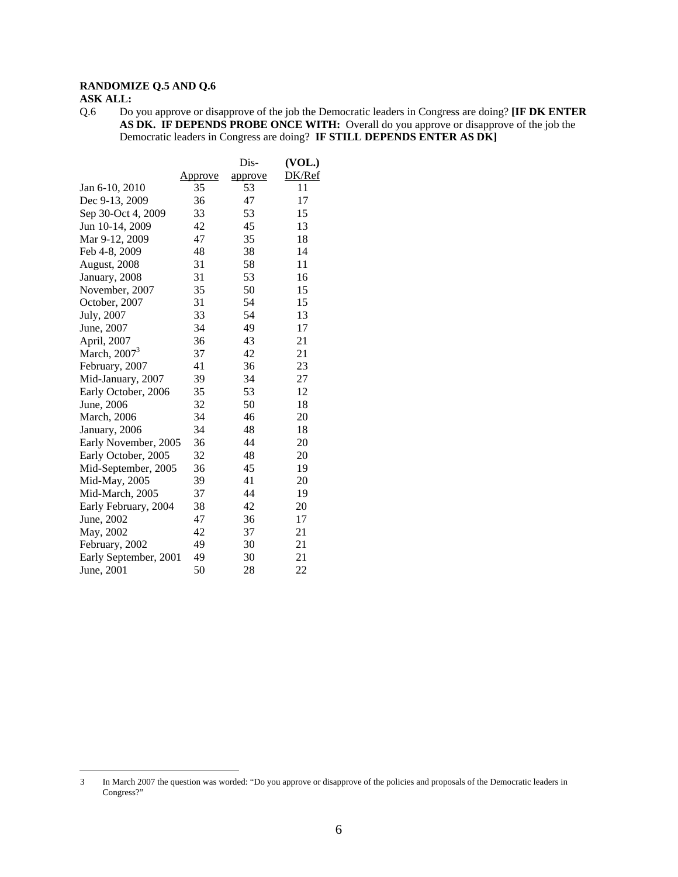# **RANDOMIZE Q.5 AND Q.6**

# **ASK ALL:**

 $\overline{a}$ 

Q.6 Do you approve or disapprove of the job the Democratic leaders in Congress are doing? **[IF DK ENTER AS DK. IF DEPENDS PROBE ONCE WITH:** Overall do you approve or disapprove of the job the Democratic leaders in Congress are doing? **IF STILL DEPENDS ENTER AS DK]**

|                       |                | Dis-    | (VOL.) |
|-----------------------|----------------|---------|--------|
|                       | <u>Approve</u> | approve | DK/Ref |
| Jan 6-10, 2010        | 35             | 53      | 11     |
| Dec 9-13, 2009        | 36             | 47      | 17     |
| Sep 30-Oct 4, 2009    | 33             | 53      | 15     |
| Jun 10-14, 2009       | 42             | 45      | 13     |
| Mar 9-12, 2009        | 47             | 35      | 18     |
| Feb 4-8, 2009         | 48             | 38      | 14     |
| August, 2008          | 31             | 58      | 11     |
| January, 2008         | 31             | 53      | 16     |
| November, 2007        | 35             | 50      | 15     |
| October, 2007         | 31             | 54      | 15     |
| July, 2007            | 33             | 54      | 13     |
| June, 2007            | 34             | 49      | 17     |
| April, 2007           | 36             | 43      | 21     |
| March, $20073$        | 37             | 42      | 21     |
| February, 2007        | 41             | 36      | 23     |
| Mid-January, 2007     | 39             | 34      | 27     |
| Early October, 2006   | 35             | 53      | 12     |
| June, 2006            | 32             | 50      | 18     |
| <b>March</b> , 2006   | 34             | 46      | 20     |
| January, 2006         | 34             | 48      | 18     |
| Early November, 2005  | 36             | 44      | 20     |
| Early October, 2005   | 32             | 48      | 20     |
| Mid-September, 2005   | 36             | 45      | 19     |
| Mid-May, 2005         | 39             | 41      | 20     |
| Mid-March, 2005       | 37             | 44      | 19     |
| Early February, 2004  | 38             | 42      | 20     |
| June, 2002            | 47             | 36      | 17     |
| May, 2002             | 42             | 37      | 21     |
| February, 2002        | 49             | 30      | 21     |
| Early September, 2001 | 49             | 30      | 21     |
| June, 2001            | 50             | 28      | 22     |

<sup>3</sup> In March 2007 the question was worded: "Do you approve or disapprove of the policies and proposals of the Democratic leaders in Congress?"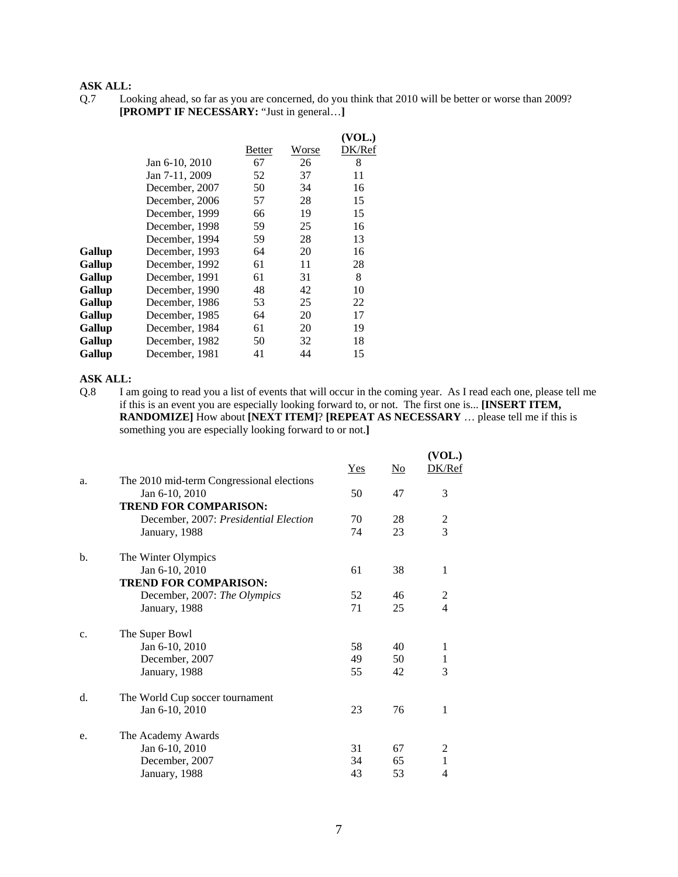Q.7 Looking ahead, so far as you are concerned, do you think that 2010 will be better or worse than 2009? **[PROMPT IF NECESSARY:** "Just in general…**]**

|        |                |        |       | (VOL.) |
|--------|----------------|--------|-------|--------|
|        |                | Better | Worse | DK/Ref |
|        | Jan 6-10, 2010 | 67     | 26    | 8      |
|        | Jan 7-11, 2009 | 52     | 37    | 11     |
|        | December, 2007 | 50     | 34    | 16     |
|        | December, 2006 | 57     | 28    | 15     |
|        | December, 1999 | 66     | 19    | 15     |
|        | December, 1998 | 59     | 25    | 16     |
|        | December, 1994 | 59     | 28    | 13     |
| Gallup | December, 1993 | 64     | 20    | 16     |
| Gallup | December, 1992 | 61     | 11    | 28     |
| Gallup | December, 1991 | 61     | 31    | 8      |
| Gallup | December, 1990 | 48     | 42    | 10     |
| Gallup | December, 1986 | 53     | 25    | 22     |
| Gallup | December, 1985 | 64     | 20    | 17     |
| Gallup | December, 1984 | 61     | 20    | 19     |
| Gallup | December, 1982 | 50     | 32    | 18     |
| Gallup | December, 1981 | 41     | 44    | 15     |

#### **ASK ALL:**

Q.8 I am going to read you a list of events that will occur in the coming year. As I read each one, please tell me if this is an event you are especially looking forward to, or not. The first one is... **[INSERT ITEM, RANDOMIZE]** How about **[NEXT ITEM]**? **[REPEAT AS NECESSARY** … please tell me if this is something you are especially looking forward to or not.**]**

|    |                                                             | $Yes$ | N <sub>0</sub> | (VOL.)<br>DK/Ref |
|----|-------------------------------------------------------------|-------|----------------|------------------|
| a. | The 2010 mid-term Congressional elections<br>Jan 6-10, 2010 | 50    | 47             | 3                |
|    | <b>TREND FOR COMPARISON:</b>                                |       |                |                  |
|    | December, 2007: Presidential Election                       | 70    | 28             | 2                |
|    | January, 1988                                               | 74    | 23             | 3                |
| b. | The Winter Olympics                                         |       |                |                  |
|    | Jan 6-10, 2010                                              | 61    | 38             | 1                |
|    | <b>TREND FOR COMPARISON:</b>                                |       |                |                  |
|    | December, 2007: The Olympics                                | 52    | 46             | 2                |
|    | January, 1988                                               | 71    | 25             | 4                |
| c. | The Super Bowl                                              |       |                |                  |
|    | Jan 6-10, 2010                                              | 58    | 40             | $\mathbf{1}$     |
|    | December, 2007                                              | 49    | 50             | 1                |
|    | January, 1988                                               | 55    | 42             | 3                |
| d. | The World Cup soccer tournament                             |       |                |                  |
|    | Jan 6-10, 2010                                              | 23    | 76             | 1                |
| e. | The Academy Awards                                          |       |                |                  |
|    | Jan 6-10, 2010                                              | 31    | 67             | 2                |
|    | December, 2007                                              | 34    | 65             | $\mathbf{1}$     |
|    | January, 1988                                               | 43    | 53             | 4                |
|    |                                                             |       |                |                  |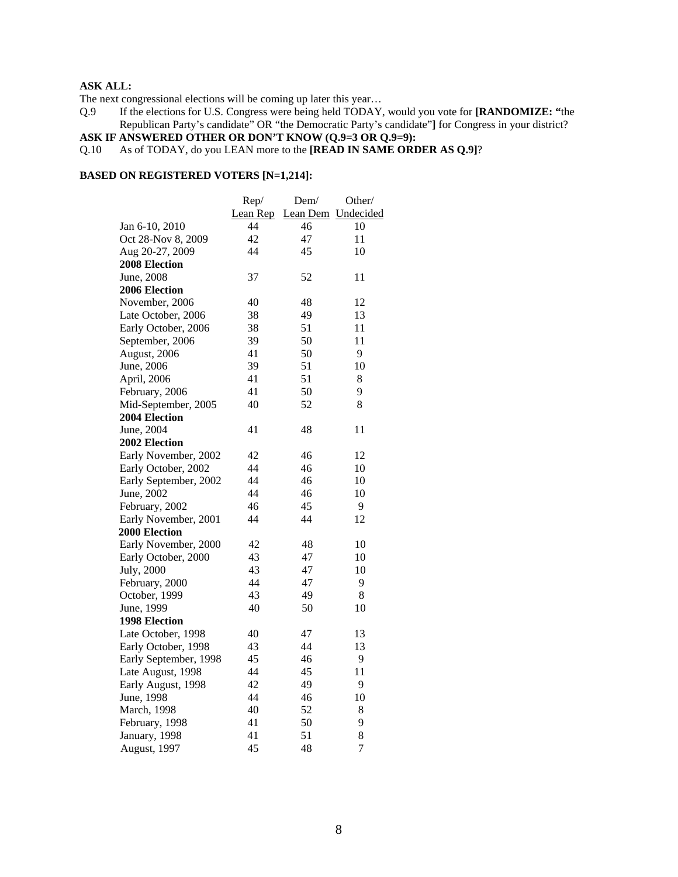The next congressional elections will be coming up later this year…

Q.9 If the elections for U.S. Congress were being held TODAY, would you vote for **[RANDOMIZE: "**the Republican Party's candidate" OR "the Democratic Party's candidate"**]** for Congress in your district?

# **ASK IF ANSWERED OTHER OR DON'T KNOW (Q.9=3 OR Q.9=9):**

## Q.10 As of TODAY, do you LEAN more to the **[READ IN SAME ORDER AS Q.9]**?

#### **BASED ON REGISTERED VOTERS [N=1,214]:**

|                       | Rep/     | Dem/               | Other/         |
|-----------------------|----------|--------------------|----------------|
|                       | Lean Rep | Lean Dem Undecided |                |
| Jan 6-10, 2010        | 44       | 46                 | 10             |
| Oct 28-Nov 8, 2009    | 42       | 47                 | 11             |
| Aug 20-27, 2009       | 44       | 45                 | 10             |
| <b>2008 Election</b>  |          |                    |                |
| June, 2008            | 37       | 52                 | 11             |
| 2006 Election         |          |                    |                |
| November, 2006        | 40       | 48                 | 12             |
| Late October, 2006    | 38       | 49                 | 13             |
| Early October, 2006   | 38       | 51                 | 11             |
| September, 2006       | 39       | 50                 | 11             |
| August, 2006          | 41       | 50                 | 9              |
| June, 2006            | 39       | 51                 | 10             |
| April, 2006           | 41       | 51                 | 8              |
| February, 2006        | 41       | 50                 | 9              |
| Mid-September, 2005   | 40       | 52                 | 8              |
| <b>2004 Election</b>  |          |                    |                |
| June, 2004            | 41       | 48                 | 11             |
| 2002 Election         |          |                    |                |
| Early November, 2002  | 42       | 46                 | 12             |
| Early October, 2002   | 44       | 46                 | 10             |
| Early September, 2002 | 44       | 46                 | 10             |
| June, 2002            | 44       | 46                 | 10             |
| February, 2002        | 46       | 45                 | 9              |
| Early November, 2001  | 44       | 44                 | 12             |
| 2000 Election         |          |                    |                |
| Early November, 2000  | 42       | 48                 | 10             |
| Early October, 2000   | 43       | 47                 | 10             |
| July, 2000            | 43       | 47                 | 10             |
| February, 2000        | 44       | 47                 | 9              |
| October, 1999         | 43       | 49                 | 8              |
| June, 1999            | 40       | 50                 | 10             |
| 1998 Election         |          |                    |                |
| Late October, 1998    | 40       | 47                 | 13             |
| Early October, 1998   | 43       | 44                 | 13             |
| Early September, 1998 | 45       | 46                 | 9              |
| Late August, 1998     | 44       | 45                 | 11             |
| Early August, 1998    | 42       | 49                 | 9              |
| June, 1998            | 44       | 46                 | 10             |
| March, 1998           | 40       | 52                 | 8              |
| February, 1998        | 41       | 50                 | 9              |
| January, 1998         | 41       | 51                 | 8              |
| August, 1997          | 45       | 48                 | $\overline{7}$ |
|                       |          |                    |                |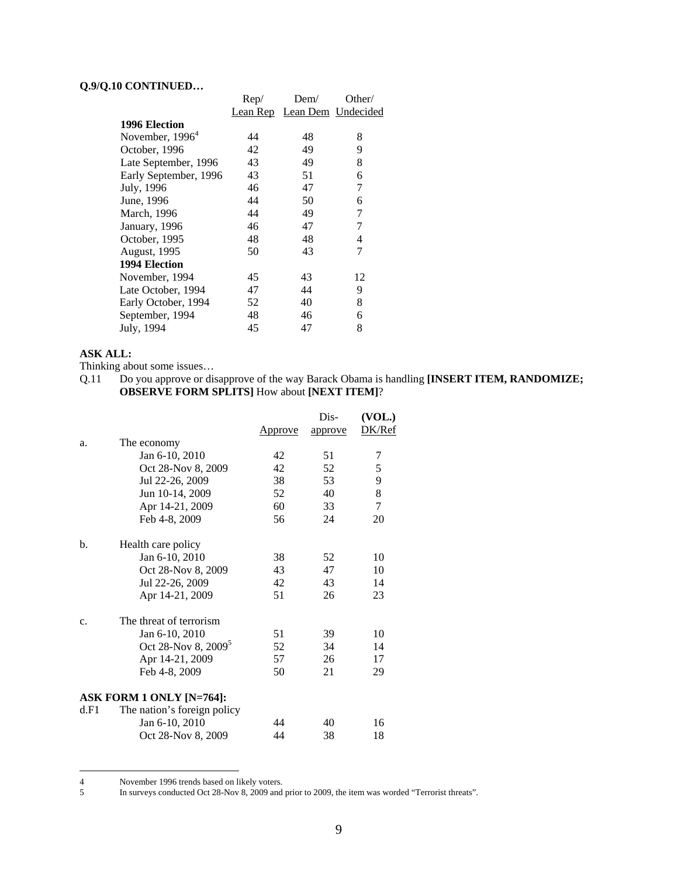# **Q.9/Q.10 CONTINUED…**

| Rep/ | Dem/ | Other/                      |
|------|------|-----------------------------|
|      |      |                             |
|      |      |                             |
| 44   | 48   | 8                           |
| 42   | 49   | 9                           |
| 43   | 49   | 8                           |
| 43   | 51   | 6                           |
| 46   | 47   | 7                           |
| 44   | 50   | 6                           |
| 44   | 49   | 7                           |
| 46   | 47   | 7                           |
| 48   | 48   | 4                           |
| 50   | 43   | 7                           |
|      |      |                             |
| 45   | 43   | 12                          |
| 47   | 44   | 9                           |
| 52   | 40   | 8                           |
| 48   | 46   | 6                           |
| 45   | 47   | 8                           |
|      |      | Lean Rep Lean Dem Undecided |

# **ASK ALL:**

Thinking about some issues...<br>Q.11 Do you approve or dis

Do you approve or disapprove of the way Barack Obama is handling **[INSERT ITEM, RANDOMIZE; OBSERVE FORM SPLITS]** How about **[NEXT ITEM]**?

|                |                                 |         | Dis-    | (VOL.) |
|----------------|---------------------------------|---------|---------|--------|
|                |                                 | Approve | approve | DK/Ref |
| a.             | The economy                     |         |         |        |
|                | Jan 6-10, 2010                  | 42      | 51      | 7      |
|                | Oct 28-Nov 8, 2009              | 42      | 52      | 5      |
|                | Jul 22-26, 2009                 | 38      | 53      | 9      |
|                | Jun 10-14, 2009                 | 52      | 40      | $8\,$  |
|                | Apr 14-21, 2009                 | 60      | 33      | $\tau$ |
|                | Feb 4-8, 2009                   | 56      | 24      | 20     |
| b.             | Health care policy              |         |         |        |
|                | Jan 6-10, 2010                  | 38      | 52      | 10     |
|                | Oct 28-Nov 8, 2009              | 43      | 47      | 10     |
|                | Jul 22-26, 2009                 | 42      | 43      | 14     |
|                | Apr 14-21, 2009                 | 51      | 26      | 23     |
| $\mathbf{c}$ . | The threat of terrorism         |         |         |        |
|                | Jan 6-10, 2010                  | 51      | 39      | 10     |
|                | Oct 28-Nov 8, 2009 <sup>5</sup> | 52      | 34      | 14     |
|                | Apr 14-21, 2009                 | 57      | 26      | 17     |
|                | Feb 4-8, 2009                   | 50      | 21      | 29     |
|                | ASK FORM 1 ONLY [N=764]:        |         |         |        |
| d.F1           | The nation's foreign policy     |         |         |        |
|                | Jan 6-10, 2010                  | 44      | 40      | 16     |
|                | Oct 28-Nov 8, 2009              | 44      | 38      | 18     |

 $\begin{array}{c} 4 \\ 5 \end{array}$ November 1996 trends based on likely voters.

<sup>5</sup> In surveys conducted Oct 28-Nov 8, 2009 and prior to 2009, the item was worded "Terrorist threats".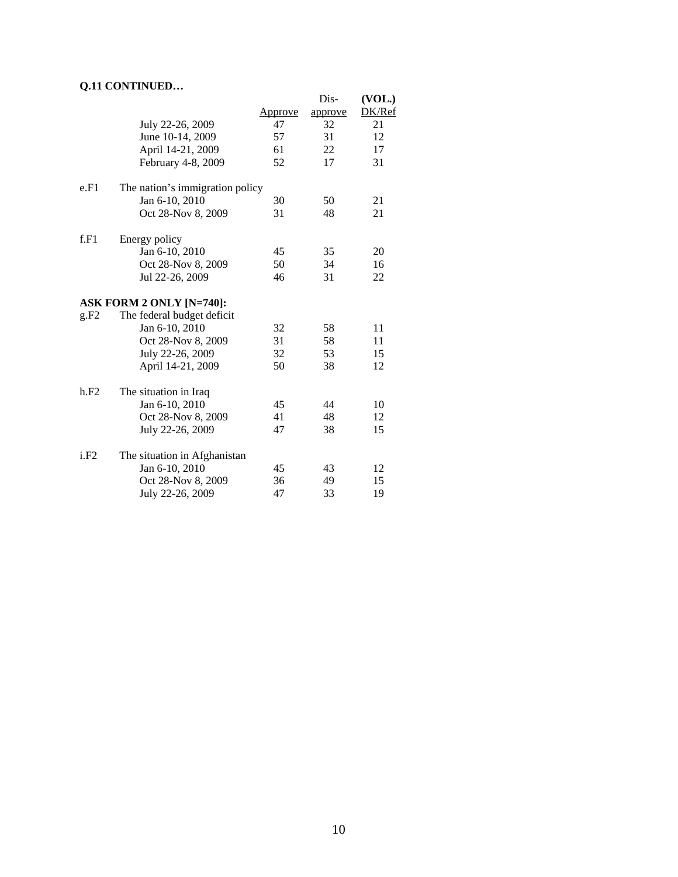# **Q.11 CONTINUED…**

|      |                                 |                | Dis-    | (VOL.) |
|------|---------------------------------|----------------|---------|--------|
|      |                                 | <u>Approve</u> | approve | DK/Ref |
|      | July 22-26, 2009                | 47             | 32      | 21     |
|      | June 10-14, 2009                | 57             | 31      | 12     |
|      | April 14-21, 2009               | 61             | 22      | 17     |
|      | February 4-8, 2009              | 52             | 17      | 31     |
| e.F1 | The nation's immigration policy |                |         |        |
|      | Jan 6-10, 2010                  | 30             | 50      | 21     |
|      | Oct 28-Nov 8, 2009              | 31             | 48      | 21     |
| f.F1 | Energy policy                   |                |         |        |
|      | Jan 6-10, 2010                  | 45             | 35      | 20     |
|      | Oct 28-Nov 8, 2009              | 50             | 34      | 16     |
|      | Jul 22-26, 2009                 | 46             | 31      | 22     |
|      | <b>ASK FORM 2 ONLY [N=740]:</b> |                |         |        |
| g.F2 | The federal budget deficit      |                |         |        |
|      | Jan 6-10, 2010                  | 32             | 58      | 11     |
|      | Oct 28-Nov 8, 2009              | 31             | 58      | 11     |
|      | July 22-26, 2009                | 32             | 53      | 15     |
|      | April 14-21, 2009               | 50             | 38      | 12     |
| h.F2 | The situation in Iraq           |                |         |        |
|      | Jan 6-10, 2010                  | 45             | 44      | 10     |
|      | Oct 28-Nov 8, 2009              | 41             | 48      | 12     |
|      | July 22-26, 2009                | 47             | 38      | 15     |
| i.F2 | The situation in Afghanistan    |                |         |        |
|      | Jan 6-10, 2010                  | 45             | 43      | 12     |
|      | Oct 28-Nov 8, 2009              | 36             | 49      | 15     |
|      | July 22-26, 2009                | 47             | 33      | 19     |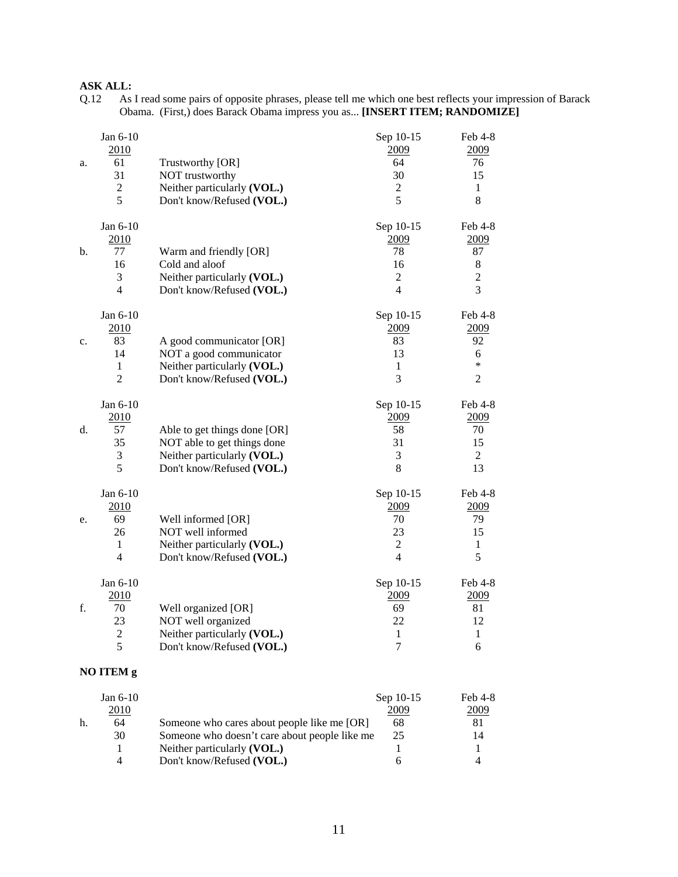# **ASK ALL:**<br>Q.12 As

Q.12 As I read some pairs of opposite phrases, please tell me which one best reflects your impression of Barack Obama. (First,) does Barack Obama impress you as... **[INSERT ITEM; RANDOMIZE]** 

| a. | Jan 6-10<br>2010<br>61<br>31<br>$\sqrt{2}$<br>5                | Trustworthy [OR]<br>NOT trustworthy<br>Neither particularly (VOL.)<br>Don't know/Refused (VOL.)                         | Sep 10-15<br>2009<br>64<br>30<br>$\sqrt{2}$<br>5                  | Feb 4-8<br>2009<br>76<br>15<br>$\mathbf{1}$<br>8                   |
|----|----------------------------------------------------------------|-------------------------------------------------------------------------------------------------------------------------|-------------------------------------------------------------------|--------------------------------------------------------------------|
| b. | Jan 6-10<br>2010<br>77<br>16<br>3<br>$\overline{4}$            | Warm and friendly [OR]<br>Cold and aloof<br>Neither particularly (VOL.)<br>Don't know/Refused (VOL.)                    | Sep 10-15<br>2009<br>78<br>16<br>$\overline{2}$<br>$\overline{4}$ | Feb 4-8<br>2009<br>87<br>$8\,$<br>$\overline{2}$<br>$\overline{3}$ |
| c. | Jan 6-10<br>2010<br>83<br>14<br>$\mathbf{1}$<br>$\overline{2}$ | A good communicator [OR]<br>NOT a good communicator<br>Neither particularly (VOL.)<br>Don't know/Refused (VOL.)         | Sep 10-15<br>2009<br>83<br>13<br>1<br>3                           | Feb 4-8<br>2009<br>92<br>6<br>$\ast$<br>$\sqrt{2}$                 |
| d. | Jan 6-10<br>2010<br>57<br>35<br>$\mathfrak{Z}$<br>5            | Able to get things done [OR]<br>NOT able to get things done<br>Neither particularly (VOL.)<br>Don't know/Refused (VOL.) | Sep 10-15<br>2009<br>58<br>31<br>3<br>8                           | Feb 4-8<br>2009<br>70<br>15<br>$\overline{2}$<br>13                |
| e. | Jan 6-10<br>2010<br>69<br>26<br>$\mathbf{1}$<br>$\overline{4}$ | Well informed [OR]<br>NOT well informed<br>Neither particularly (VOL.)<br>Don't know/Refused (VOL.)                     | Sep 10-15<br>2009<br>70<br>23<br>$\overline{2}$<br>$\overline{4}$ | Feb 4-8<br>2009<br>79<br>15<br>$\mathbf{1}$<br>5                   |
| f. | Jan 6-10<br>2010<br>70<br>23<br>$\mathbf{2}$<br>5              | Well organized [OR]<br>NOT well organized<br>Neither particularly (VOL.)<br>Don't know/Refused (VOL.)                   | Sep 10-15<br>2009<br>69<br>22<br>$\mathbf{1}$<br>$\tau$           | Feb 4-8<br>2009<br>81<br>12<br>1<br>6                              |
|    | NO ITEM g                                                      |                                                                                                                         |                                                                   |                                                                    |

|    | Jan $6-10$ |                                               | Sep 10-15 | Feb 4-8     |
|----|------------|-----------------------------------------------|-----------|-------------|
|    | 2010       |                                               | 2009      | <u>2009</u> |
| h. | 64         | Someone who cares about people like me [OR]   | 68        | 81          |
|    | 30         | Someone who doesn't care about people like me | 25        | 14          |
|    |            | Neither particularly (VOL.)                   |           |             |
|    | Λ          | Don't know/Refused (VOL.)                     |           |             |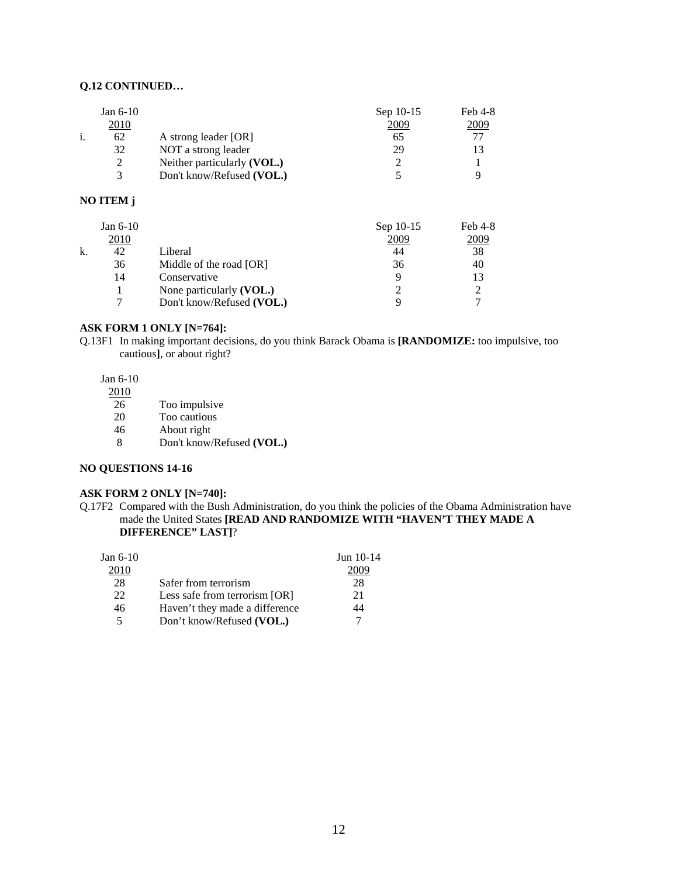# **Q.12 CONTINUED…**

|    | Jan $6-10$    |                             | Sep 10-15 | Feb 4-8 |
|----|---------------|-----------------------------|-----------|---------|
|    | 2010          |                             | 2009      | 2009    |
| 1. | 62            | A strong leader [OR]        | 65        |         |
|    | 32            | NOT a strong leader         | 29        |         |
|    | 2             | Neither particularly (VOL.) |           |         |
|    | $\mathcal{R}$ | Don't know/Refused (VOL.)   |           |         |

## **NO ITEM j**

|    | Jan $6-10$ |                           | Sep 10-15 | Feb 4-8 |
|----|------------|---------------------------|-----------|---------|
|    | 2010       |                           | 2009      | 2009    |
| k. | 42         | Liberal                   | 44        | 38      |
|    | 36         | Middle of the road [OR]   | 36        | 40      |
|    | 14         | Conservative              |           |         |
|    |            | None particularly (VOL.)  |           |         |
|    |            | Don't know/Refused (VOL.) |           |         |

## **ASK FORM 1 ONLY [N=764]:**

Q.13F1 In making important decisions, do you think Barack Obama is **[RANDOMIZE:** too impulsive, too cautious**]**, or about right?

# Jan 6-10

- 26 Too impulsive<br>20 Too cautious
- Too cautious
- 46 About right
- 8 Don't know/Refused **(VOL.)**

#### **NO QUESTIONS 14-16**

#### **ASK FORM 2 ONLY [N=740]:**

Q.17F2 Compared with the Bush Administration, do you think the policies of the Obama Administration have made the United States **[READ AND RANDOMIZE WITH "HAVEN'T THEY MADE A DIFFERENCE" LAST]**?

| Jan $6-10$ |                                | Jun $10-14$ |
|------------|--------------------------------|-------------|
| 2010       |                                | ۱۱۱۲        |
| 28         | Safer from terrorism           | 28          |
| 22         | Less safe from terrorism [OR]  | 21          |
| 46         | Haven't they made a difference | 14          |
|            | Don't know/Refused (VOL.)      |             |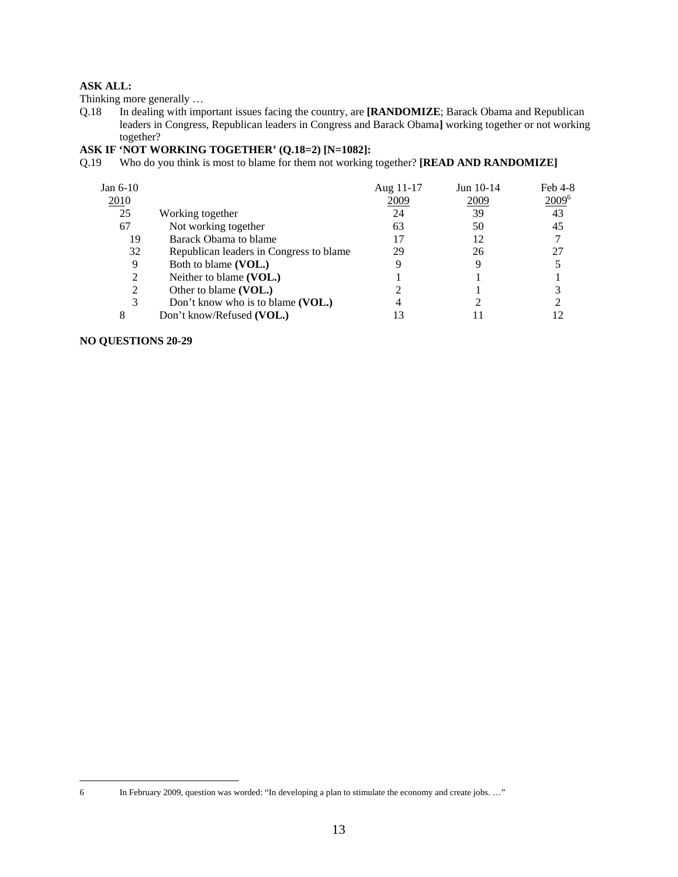Thinking more generally …

Q.18 In dealing with important issues facing the country, are **[RANDOMIZE**; Barack Obama and Republican leaders in Congress, Republican leaders in Congress and Barack Obama**]** working together or not working together?

## **ASK IF 'NOT WORKING TOGETHER' (Q.18=2) [N=1082]:**

Q.19 Who do you think is most to blame for them not working together? **[READ AND RANDOMIZE]**

| Jan 6-10 |                                         | Aug 11-17 | Jun 10-14 | Feb 4-8  |
|----------|-----------------------------------------|-----------|-----------|----------|
| 2010     |                                         | 2009      | 2009      | $2009^6$ |
| 25       | Working together                        | 24        | 39        | 43       |
| 67       | Not working together                    | 63        | 50        | 45       |
| 19       | Barack Obama to blame                   | 17        | 12        |          |
| 32       | Republican leaders in Congress to blame | 29        | 26        |          |
| 9        | Both to blame (VOL.)                    |           |           |          |
| 2        | Neither to blame (VOL.)                 |           |           |          |
| 2        | Other to blame (VOL.)                   |           |           |          |
| 3        | Don't know who is to blame (VOL.)       |           |           |          |
|          | Don't know/Refused (VOL.)               |           |           |          |

## **NO QUESTIONS 20-29**

 $\sqrt{6}$ 

In February 2009, question was worded: "In developing a plan to stimulate the economy and create jobs. ..."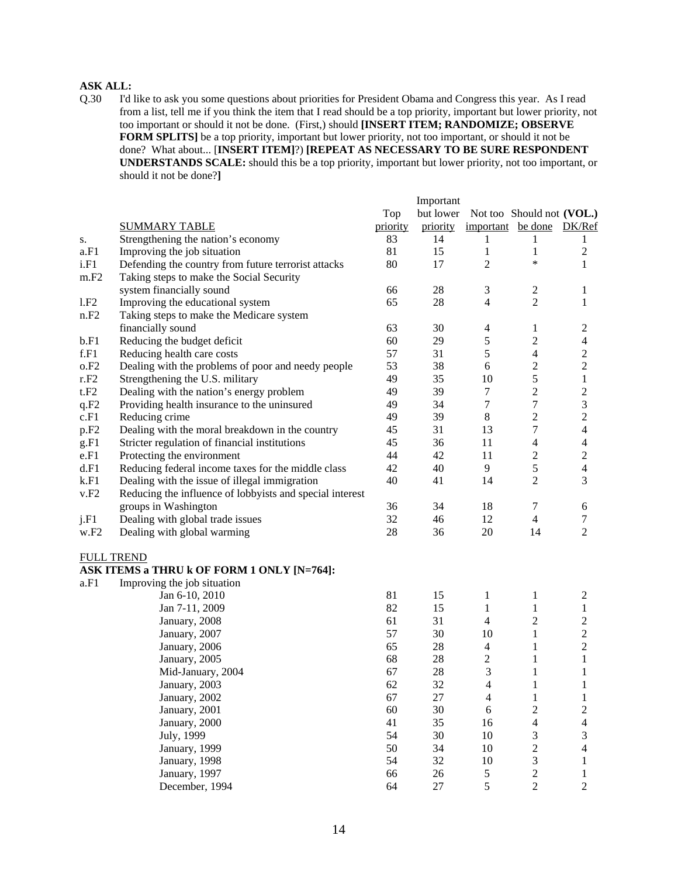Q.30 I'd like to ask you some questions about priorities for President Obama and Congress this year. As I read from a list, tell me if you think the item that I read should be a top priority, important but lower priority, not too important or should it not be done. (First,) should **[INSERT ITEM; RANDOMIZE; OBSERVE FORM SPLITS]** be a top priority, important but lower priority, not too important, or should it not be done? What about... [**INSERT ITEM]**?) **[REPEAT AS NECESSARY TO BE SURE RESPONDENT UNDERSTANDS SCALE:** should this be a top priority, important but lower priority, not too important, or should it not be done?**]** 

|                  |                                                          |          | Important |                   |                           |                             |
|------------------|----------------------------------------------------------|----------|-----------|-------------------|---------------------------|-----------------------------|
|                  |                                                          | Top      | but lower |                   | Not too Should not (VOL.) |                             |
|                  | <b>SUMMARY TABLE</b>                                     | priority | priority  | important be done |                           | DK/Ref                      |
| s.               | Strengthening the nation's economy                       | 83       | 14        | 1                 | 1                         | 1                           |
| a.F1             | Improving the job situation                              | 81       | 15        | 1                 | 1                         | $\mathbf{2}$                |
| i.F1             | Defending the country from future terrorist attacks      | 80       | 17        | $\overline{2}$    | $\ast$                    | $\mathbf{1}$                |
| m.F2             | Taking steps to make the Social Security                 |          |           |                   |                           |                             |
|                  | system financially sound                                 | 66       | 28        | 3                 | $\boldsymbol{2}$          | 1                           |
| 1.F2             | Improving the educational system                         | 65       | 28        | $\overline{4}$    | $\overline{c}$            | 1                           |
| n.F2             | Taking steps to make the Medicare system                 |          |           |                   |                           |                             |
|                  | financially sound                                        | 63       | 30        | $\overline{4}$    | $\mathbf{1}$              | $\overline{c}$              |
| b.F1             | Reducing the budget deficit                              | 60       | 29        | $\sqrt{5}$        | $\sqrt{2}$                | $\overline{4}$              |
| f.F1             | Reducing health care costs                               | 57       | 31        | $\sqrt{5}$        | $\overline{4}$            | $\sqrt{2}$                  |
| o.F2             | Dealing with the problems of poor and needy people       | 53       | 38        | 6                 | $\overline{c}$            | $\sqrt{2}$                  |
| r.F2             | Strengthening the U.S. military                          | 49       | 35        | 10                | 5                         | $\mathbf{1}$                |
| t.F2             | Dealing with the nation's energy problem                 | 49       | 39        | $\tau$            | $\sqrt{2}$                | $\mathbf{2}$                |
| q.F2             | Providing health insurance to the uninsured              | 49       | 34        | $\tau$            | $\boldsymbol{7}$          | $\ensuremath{\mathfrak{Z}}$ |
| c.F1             | Reducing crime                                           | 49       | 39        | $\,8\,$           | $\overline{2}$            | $\sqrt{2}$                  |
| p.F <sub>2</sub> | Dealing with the moral breakdown in the country          | 45       | 31        | 13                | 7                         | $\overline{4}$              |
| g.F1             | Stricter regulation of financial institutions            | 45       | 36        | 11                | $\overline{4}$            | $\overline{4}$              |
| e.F1             | Protecting the environment                               | 44       | 42        | 11                | $\boldsymbol{2}$          | $\sqrt{2}$                  |
| d.F1             | Reducing federal income taxes for the middle class       | 42       | 40        | 9                 | 5                         | $\overline{4}$              |
| k.F1             | Dealing with the issue of illegal immigration            | 40       | 41        | 14                | $\overline{c}$            | 3                           |
| v.F2             | Reducing the influence of lobbyists and special interest |          |           |                   |                           |                             |
|                  | groups in Washington                                     | 36       | 34        | 18                | 7                         | 6                           |
| j.F1             | Dealing with global trade issues                         | 32       | 46        | 12                | $\overline{4}$            | $\tau$                      |
| w.F2             | Dealing with global warming                              | 28       | 36        | 20                | 14                        | $\overline{2}$              |
|                  | <b>FULL TREND</b>                                        |          |           |                   |                           |                             |
|                  | ASK ITEMS a THRU k OF FORM 1 ONLY [N=764]:               |          |           |                   |                           |                             |
| a.F1             | Improving the job situation                              |          |           |                   |                           |                             |
|                  | Jan 6-10, 2010                                           | 81       | 15        | $\mathbf{1}$      | 1                         | $\overline{c}$              |
|                  | Jan 7-11, 2009                                           | 82       | 15        | $\mathbf{1}$      | 1                         | $\mathbf{1}$                |
|                  | January, 2008                                            | 61       | 31        | $\overline{4}$    | $\boldsymbol{2}$          | $\mathbf{2}$                |
|                  | January, 2007                                            | 57       | 30        | 10                | $\mathbf{1}$              | $\sqrt{2}$                  |
|                  | January, 2006                                            | 65       | $28\,$    | $\overline{4}$    | $\mathbf{1}$              | $\boldsymbol{2}$            |
|                  | January, 2005                                            | 68       | 28        | $\boldsymbol{2}$  | $\mathbf{1}$              | $\mathbf{1}$                |
|                  | Mid-January, 2004                                        | 67       | 28        | 3                 | $\mathbf{1}$              | 1                           |
|                  | January, 2003                                            | 62       | 32        | $\overline{4}$    | $\mathbf{1}$              | $\mathbf{1}$                |
|                  | January, 2002                                            | 67       | 27        | $\overline{4}$    | $\mathbf{1}$              | 1                           |
|                  | January, 2001                                            | 60       | 30        | $\sqrt{6}$        | $\overline{\mathbf{c}}$   | $\boldsymbol{2}$            |
|                  | January, 2000                                            | 41       | 35        | 16                | 4                         | $\overline{4}$              |
|                  | July, 1999                                               | 54       | 30        | $10\,$            | 3                         | $\mathfrak{Z}$              |
|                  | January, 1999                                            | 50       | 34        | $10\,$            | $\overline{c}$            | $\overline{4}$              |
|                  | January, 1998                                            | 54       | 32        | $10\,$            | $\mathfrak{Z}$            | $\mathbf{1}$                |
|                  | January, 1997                                            | 66       | 26        | $\mathfrak{S}$    | $\overline{c}$            | 1                           |
|                  | December, 1994                                           | 64       | $27\,$    | 5                 | $\overline{c}$            | $\overline{2}$              |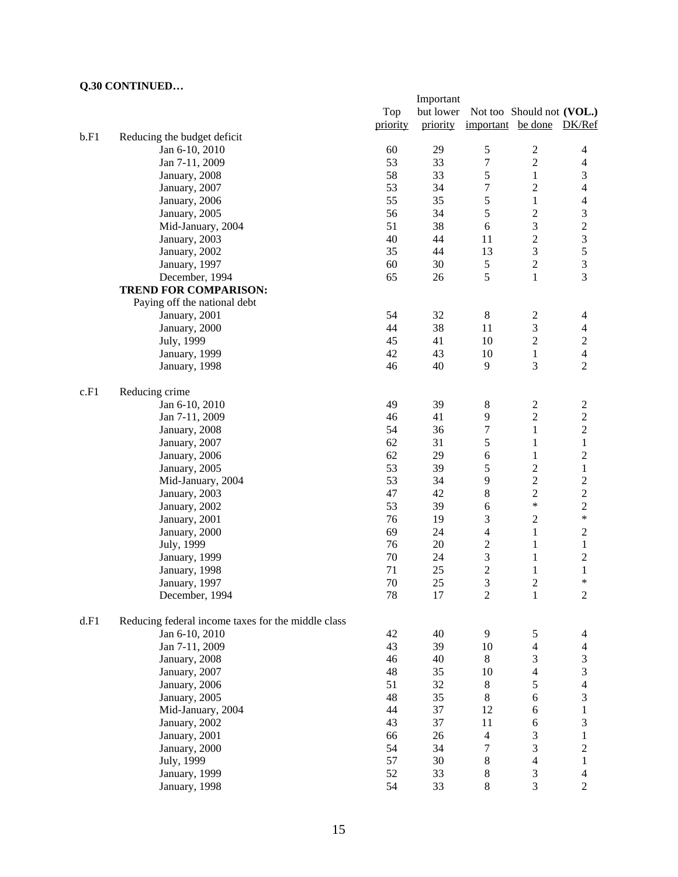|      |                                                    |          | Important |                   |                             |                  |
|------|----------------------------------------------------|----------|-----------|-------------------|-----------------------------|------------------|
|      |                                                    | Top      | but lower |                   | Not too Should not (VOL.)   |                  |
|      |                                                    | priority | priority  | important be done |                             | DK/Ref           |
| b.F1 | Reducing the budget deficit                        |          |           |                   |                             |                  |
|      | Jan 6-10, 2010                                     | 60       | 29        | $\mathfrak s$     | $\boldsymbol{2}$            | $\overline{4}$   |
|      | Jan 7-11, 2009                                     | 53       | 33        | 7                 | $\overline{2}$              | $\overline{4}$   |
|      | January, 2008                                      | 58       | 33        | 5                 | $\mathbf{1}$                | $\mathfrak{Z}$   |
|      | January, 2007                                      | 53       | 34        | 7                 | $\overline{2}$              | $\overline{4}$   |
|      | January, 2006                                      | 55       | 35        | 5                 | $\mathbf{1}$                | $\overline{4}$   |
|      | January, 2005                                      | 56       | 34        | 5                 | $\boldsymbol{2}$            | $\mathfrak{Z}$   |
|      | Mid-January, 2004                                  | 51       | 38        | 6                 | 3                           |                  |
|      | January, 2003                                      | 40       | 44        | 11                | $\overline{c}$              | $\frac{2}{3}$    |
|      | January, 2002                                      | 35       | 44        | 13                | $\mathfrak{Z}$              | 5                |
|      | January, 1997                                      | 60       | 30        | 5                 | $\sqrt{2}$                  | $\overline{3}$   |
|      | December, 1994                                     | 65       | 26        | 5                 | $\mathbf{1}$                | 3                |
|      | <b>TREND FOR COMPARISON:</b>                       |          |           |                   |                             |                  |
|      |                                                    |          |           |                   |                             |                  |
|      | Paying off the national debt                       | 54       |           |                   |                             |                  |
|      | January, 2001                                      |          | 32        | $8\,$             | $\overline{c}$              | 4                |
|      | January, 2000                                      | 44       | 38        | 11                | $\mathfrak 3$               | $\overline{4}$   |
|      | July, 1999                                         | 45       | 41        | 10                | $\overline{c}$              | $\overline{c}$   |
|      | January, 1999                                      | 42       | 43        | 10                | $\mathbf{1}$                | $\overline{4}$   |
|      | January, 1998                                      | 46       | 40        | 9                 | 3                           | $\overline{2}$   |
| c.F1 | Reducing crime                                     |          |           |                   |                             |                  |
|      | Jan 6-10, 2010                                     | 49       | 39        | $8\,$             | $\sqrt{2}$                  | $\sqrt{2}$       |
|      | Jan 7-11, 2009                                     | 46       | 41        | 9                 | $\overline{c}$              | $\overline{c}$   |
|      | January, 2008                                      | 54       | 36        | 7                 | $\mathbf{1}$                | $\sqrt{2}$       |
|      | January, 2007                                      | 62       | 31        | 5                 | $\mathbf{1}$                | $\,1$            |
|      | January, 2006                                      | 62       | 29        | 6                 | $\mathbf{1}$                | $\boldsymbol{2}$ |
|      | January, 2005                                      | 53       | 39        | 5                 | $\overline{c}$              | $\mathbf{1}$     |
|      | Mid-January, 2004                                  | 53       | 34        | 9                 | $\sqrt{2}$                  | $\boldsymbol{2}$ |
|      | January, 2003                                      | 47       | 42        | 8                 | $\sqrt{2}$                  | $\overline{c}$   |
|      | January, 2002                                      | 53       | 39        | 6                 | $\ast$                      | $\sqrt{2}$       |
|      | January, 2001                                      | 76       | 19        | 3                 | $\sqrt{2}$                  | $\ast$           |
|      | January, 2000                                      | 69       | 24        | 4                 | $\mathbf{1}$                | $\sqrt{2}$       |
|      | July, 1999                                         | 76       | 20        | $\mathbf{2}$      | $\mathbf{1}$                | $\mathbf{1}$     |
|      | January, 1999                                      | 70       | 24        | 3                 | $\mathbf{1}$                | $\sqrt{2}$       |
|      | January, 1998                                      | 71       | 25        | $\overline{c}$    | $\mathbf{1}$                | $\mathbf{1}$     |
|      | January, 1997                                      | 70       | 25        | 3                 | $\overline{2}$              | *                |
|      | December, 1994                                     | 78       | 17        | $\overline{2}$    | $\mathbf{1}$                | $\mathbf{2}$     |
|      |                                                    |          |           |                   |                             |                  |
| d.F1 | Reducing federal income taxes for the middle class |          |           |                   |                             |                  |
|      | Jan 6-10, 2010                                     | 42       | 40        | 9                 | 5                           | 4                |
|      | Jan 7-11, 2009                                     | 43       | 39        | 10                | $\overline{4}$              | $\overline{4}$   |
|      | January, 2008                                      | 46       | 40        | 8                 | $\mathfrak{Z}$              | $\mathfrak{Z}$   |
|      | January, 2007                                      | 48       | 35        | 10                | $\overline{4}$              | $\overline{3}$   |
|      | January, 2006                                      | 51       | 32        | $8\,$             | 5                           | $\overline{4}$   |
|      | January, 2005                                      | 48       | 35        | $8\,$             | $\sqrt{6}$                  | 3                |
|      | Mid-January, 2004                                  | 44       | 37        | 12                | $\epsilon$                  | $\,1$            |
|      | January, 2002                                      | 43       | 37        | 11                | $\sqrt{6}$                  | $\mathfrak{Z}$   |
|      | January, 2001                                      | 66       | 26        | $\overline{4}$    | 3                           | $\,1$            |
|      | January, 2000                                      | 54       | 34        | 7                 | 3                           | $\overline{c}$   |
|      | July, 1999                                         | 57       | 30        | 8                 | $\overline{4}$              | $\mathbf{1}$     |
|      | January, 1999                                      | 52       | 33        | 8                 | $\ensuremath{\mathfrak{Z}}$ | $\overline{4}$   |
|      | January, 1998                                      | 54       | 33        | $8\,$             | 3                           | $\overline{2}$   |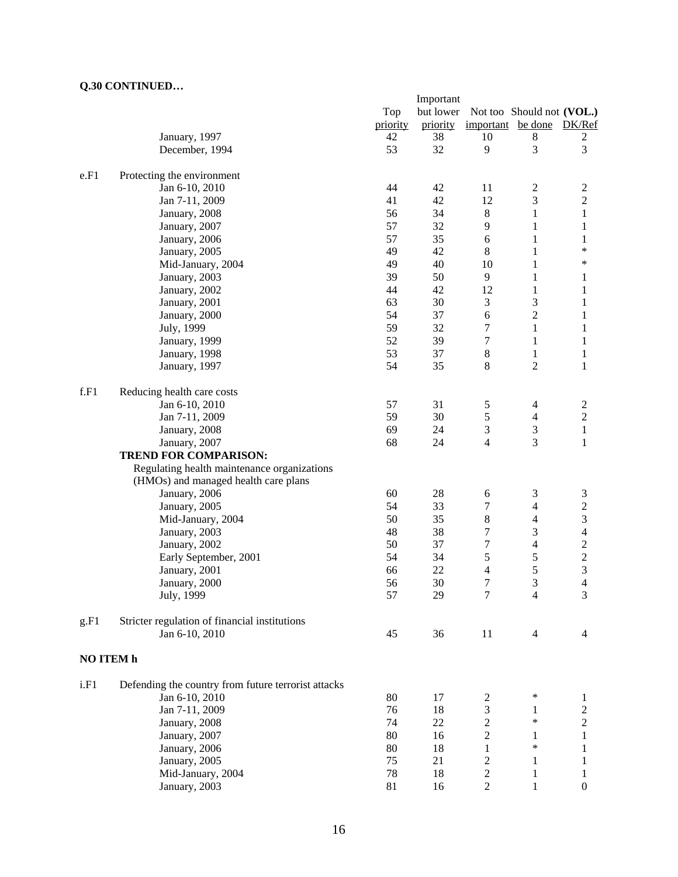|           |                                                     |          | Important |                               |                                  |                                |
|-----------|-----------------------------------------------------|----------|-----------|-------------------------------|----------------------------------|--------------------------------|
|           |                                                     | Top      | but lower |                               | Not too Should not (VOL.)        |                                |
|           |                                                     | priority | priority  | important be done             |                                  | DK/Ref                         |
|           | January, 1997                                       | 42       | 38        | 10                            | 8                                | 2                              |
|           | December, 1994                                      | 53       | 32        | 9                             | 3                                | 3                              |
|           |                                                     |          |           |                               |                                  |                                |
| e.F1      | Protecting the environment                          |          |           |                               |                                  |                                |
|           | Jan 6-10, 2010                                      | 44       | 42        | 11                            | $\boldsymbol{2}$                 | $\boldsymbol{2}$               |
|           | Jan 7-11, 2009                                      | 41       | 42        | 12                            | 3                                | $\overline{c}$                 |
|           | January, 2008                                       | 56       | 34        | $\,8\,$                       | $\mathbf{1}$                     | $\,1$                          |
|           | January, 2007                                       | 57       | 32        | $\overline{9}$                | $\mathbf{1}$                     | $\mathbf{1}$                   |
|           | January, 2006                                       | 57       | 35        | 6                             | $\mathbf{1}$                     | $\mathbf{1}$                   |
|           | January, 2005                                       | 49       | 42        | $\,8\,$                       | $\mathbf{1}$                     | $\ast$                         |
|           | Mid-January, 2004                                   | 49       | 40        | 10                            | 1                                | ∗                              |
|           | January, 2003                                       | 39       | 50        | 9                             | $\mathbf{1}$                     | 1                              |
|           | January, 2002                                       | 44       | 42        | 12                            | $\mathbf{1}$                     | 1                              |
|           | January, 2001                                       | 63       | 30        | 3                             | 3                                | 1                              |
|           | January, 2000                                       | 54       | 37        | 6                             | $\overline{c}$                   | 1                              |
|           | July, 1999                                          | 59       | 32        | 7                             | $\mathbf{1}$                     | 1                              |
|           |                                                     |          |           |                               |                                  |                                |
|           | January, 1999                                       | 52       | 39        | 7                             | $\mathbf{1}$                     | 1                              |
|           | January, 1998                                       | 53       | 37        | $\,8\,$                       | $\mathbf{1}$                     | $\mathbf{1}$                   |
|           | January, 1997                                       | 54       | 35        | $\,8\,$                       | 2                                | 1                              |
| f.F1      | Reducing health care costs                          |          |           |                               |                                  |                                |
|           | Jan 6-10, 2010                                      | 57       | 31        | 5                             | $\overline{\mathcal{A}}$         |                                |
|           |                                                     | 59       | 30        |                               | $\overline{\mathbf{4}}$          | $\overline{c}$                 |
|           | Jan 7-11, 2009                                      | 69       | 24        | 5                             |                                  | $\overline{c}$<br>$\mathbf{1}$ |
|           | January, 2008                                       |          |           | 3<br>$\overline{\mathcal{L}}$ | $\ensuremath{\mathfrak{Z}}$<br>3 |                                |
|           | January, 2007                                       | 68       | 24        |                               |                                  | 1                              |
|           | <b>TREND FOR COMPARISON:</b>                        |          |           |                               |                                  |                                |
|           | Regulating health maintenance organizations         |          |           |                               |                                  |                                |
|           | (HMOs) and managed health care plans                |          |           |                               |                                  |                                |
|           | January, 2006                                       | 60       | 28        | 6                             | 3                                | 3                              |
|           | January, 2005                                       | 54       | 33        | $\tau$                        | $\overline{4}$                   | $\sqrt{2}$                     |
|           | Mid-January, 2004                                   | 50       | 35        | 8                             | $\overline{4}$                   | $\mathfrak{Z}$                 |
|           | January, 2003                                       | 48       | 38        | 7                             | 3                                | $\overline{4}$                 |
|           | January, 2002                                       | 50       | 37        | $\boldsymbol{7}$              | $\overline{\mathbf{4}}$          | $\overline{\mathbf{c}}$        |
|           | Early September, 2001                               | 54       | 34        | 5                             | 5                                | $\overline{\mathbf{c}}$        |
|           | January, 2001                                       | 66       | 22        | 4                             | 5                                | 3                              |
|           | January, 2000                                       | 56       | 30        | 7                             | 3                                | 4                              |
|           | July, 1999                                          | 57       | 29        | 7                             | $\overline{\mathcal{A}}$         | 3                              |
|           |                                                     |          |           |                               |                                  |                                |
| g.F1      | Stricter regulation of financial institutions       |          |           |                               |                                  |                                |
|           | Jan 6-10, 2010                                      | 45       | 36        | 11                            | 4                                | 4                              |
| NO ITEM h |                                                     |          |           |                               |                                  |                                |
|           |                                                     |          |           |                               |                                  |                                |
| i.F1      | Defending the country from future terrorist attacks |          |           |                               |                                  |                                |
|           | Jan 6-10, 2010                                      | 80       | 17        | $\overline{c}$                | ∗                                | 1                              |
|           | Jan 7-11, 2009                                      | 76       | 18        | 3                             | 1                                | $\boldsymbol{2}$               |
|           | January, 2008                                       | 74       | 22        | $\overline{\mathbf{c}}$       | $\ast$                           | $\boldsymbol{2}$               |
|           | January, 2007                                       | 80       | 16        | $\overline{c}$                | 1                                | 1                              |
|           | January, 2006                                       | 80       | 18        | 1                             | $\ast$                           | 1                              |
|           | January, 2005                                       | 75       | 21        | 2                             | 1                                | 1                              |
|           | Mid-January, 2004                                   | 78       | 18        | $\overline{\mathbf{c}}$       | $\mathbf{1}$                     | 1                              |
|           | January, 2003                                       | 81       | 16        | $\overline{c}$                | 1                                | $\boldsymbol{0}$               |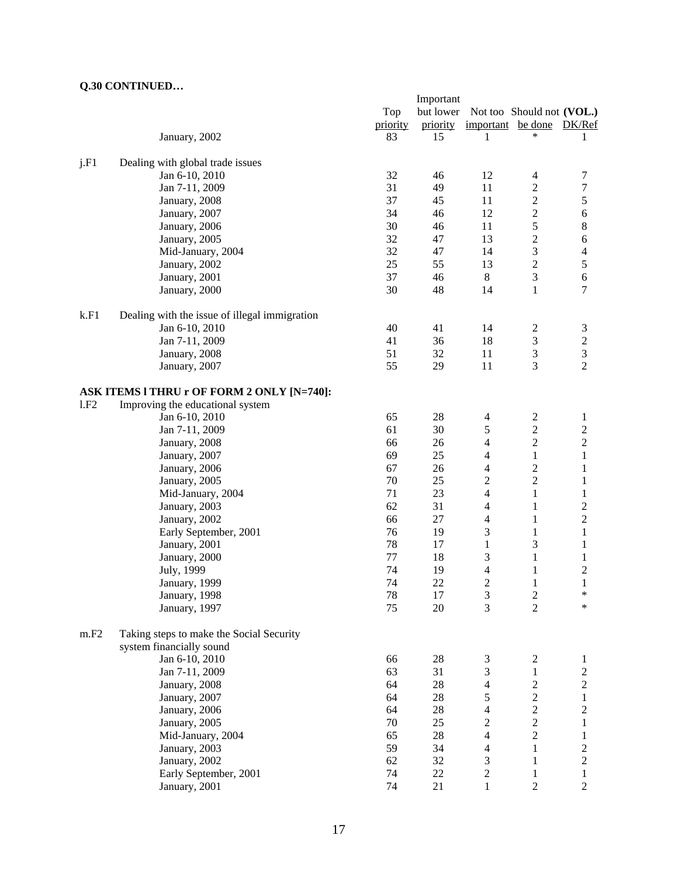|      |                                               |          | Important |                  |                           |                         |
|------|-----------------------------------------------|----------|-----------|------------------|---------------------------|-------------------------|
|      |                                               | Top      | but lower |                  | Not too Should not (VOL.) |                         |
|      |                                               | priority | priority  | important        | be done                   | DK/Ref                  |
|      | January, 2002                                 | 83       | 15        | 1                | *                         | 1                       |
|      |                                               |          |           |                  |                           |                         |
| j.F1 | Dealing with global trade issues              |          |           |                  |                           |                         |
|      | Jan 6-10, 2010                                | 32       | 46        | 12               | $\overline{4}$            | 7                       |
|      | Jan 7-11, 2009                                | 31       | 49        | 11               | $\overline{c}$            | $\boldsymbol{7}$        |
|      | January, 2008                                 | 37       | 45        | 11               | $\sqrt{2}$                | 5                       |
|      | January, 2007                                 | 34       | 46        | 12               | $\overline{c}$            | $\sqrt{6}$              |
|      | January, 2006                                 | 30       | 46        | 11               | 5                         | $\,8\,$                 |
|      | January, 2005                                 | 32       | 47        | 13               | $\boldsymbol{2}$          | 6                       |
|      | Mid-January, 2004                             | 32       | 47        | 14               | 3                         | 4                       |
|      | January, 2002                                 | 25       | 55        | 13               | $\sqrt{2}$                | 5                       |
|      | January, 2001                                 | 37       | 46        | 8                | 3                         | 6                       |
|      | January, 2000                                 | 30       | 48        | 14               | $\mathbf{1}$              | 7                       |
|      |                                               |          |           |                  |                           |                         |
| k.F1 | Dealing with the issue of illegal immigration |          |           |                  |                           |                         |
|      | Jan 6-10, 2010                                | 40       | 41        | 14               | $\overline{\mathbf{c}}$   | $\mathfrak{Z}$          |
|      | Jan 7-11, 2009                                | 41       | 36        | 18               | $\mathfrak{Z}$            | $\sqrt{2}$              |
|      | January, 2008                                 | 51       | 32        | 11               | $\mathfrak{Z}$            | 3                       |
|      | January, 2007                                 | 55       | 29        | 11               | 3                         | $\overline{2}$          |
|      | ASK ITEMS I THRU r OF FORM 2 ONLY [N=740]:    |          |           |                  |                           |                         |
| 1.F2 | Improving the educational system              |          |           |                  |                           |                         |
|      | Jan 6-10, 2010                                | 65       | 28        | $\overline{4}$   | $\overline{c}$            | $\mathbf{1}$            |
|      | Jan 7-11, 2009                                | 61       | 30        | 5                | $\overline{c}$            | $\overline{c}$          |
|      | January, 2008                                 | 66       | 26        | 4                | $\overline{c}$            | $\overline{c}$          |
|      | January, 2007                                 | 69       | 25        | 4                | $\mathbf{1}$              | $\mathbf{1}$            |
|      |                                               | 67       | 26        | 4                | $\overline{c}$            | 1                       |
|      | January, 2006                                 | 70       | 25        | $\sqrt{2}$       | $\overline{2}$            |                         |
|      | January, 2005                                 |          |           |                  |                           | 1                       |
|      | Mid-January, 2004                             | 71       | 23        | $\overline{4}$   | $\mathbf{1}$              | 1                       |
|      | January, 2003                                 | 62       | 31        | 4                | 1                         | $\overline{c}$          |
|      | January, 2002                                 | 66       | 27        | 4                | 1                         | $\overline{c}$          |
|      | Early September, 2001                         | 76       | 19        | $\mathfrak{Z}$   | $\mathbf{1}$              | $\mathbf{1}$            |
|      | January, 2001                                 | 78       | 17        | $\mathbf{1}$     | 3                         | 1                       |
|      | January, 2000                                 | 77       | 18        | 3                | $\mathbf{1}$              | 1                       |
|      | July, 1999                                    | 74       | 19        | 4                | $\mathbf{1}$              | $\overline{\mathbf{c}}$ |
|      | January, 1999                                 | 74       | 22        | $\overline{2}$   | 1                         | $\mathbf{1}$            |
|      | January, 1998                                 | 78       | 17        | 3                | 2                         | ∗                       |
|      | January, 1997                                 | 75       | 20        | 3                | $\overline{2}$            | *                       |
| m.F2 | Taking steps to make the Social Security      |          |           |                  |                           |                         |
|      | system financially sound                      |          |           |                  |                           |                         |
|      | Jan 6-10, 2010                                | 66       | 28        | 3                | $\boldsymbol{2}$          | $\mathbf{1}$            |
|      | Jan 7-11, 2009                                | 63       | 31        | $\mathfrak{Z}$   | $\mathbf{1}$              | $\mathbf{2}$            |
|      | January, 2008                                 | 64       | 28        | 4                | $\overline{c}$            | $\overline{c}$          |
|      | January, 2007                                 | 64       | 28        | 5                | $\overline{c}$            | $\mathbf{1}$            |
|      |                                               | 64       | 28        |                  |                           |                         |
|      | January, 2006                                 |          |           | 4                | $\overline{c}$            | $\overline{\mathbf{c}}$ |
|      | January, 2005                                 | 70       | 25        | 2                | $\overline{c}$            | 1                       |
|      | Mid-January, 2004                             | 65       | 28        | $\overline{4}$   | $\overline{c}$            | 1                       |
|      | January, 2003                                 | 59       | 34        | 4                | $\mathbf{1}$              | $\overline{c}$          |
|      | January, 2002                                 | 62       | 32        | 3                | 1                         | $\overline{c}$          |
|      | Early September, 2001                         | 74       | $22\,$    | $\boldsymbol{2}$ | 1                         | $\mathbf{1}$            |
|      | January, 2001                                 | 74       | 21        | $\mathbf{1}$     | $\overline{c}$            | $\sqrt{2}$              |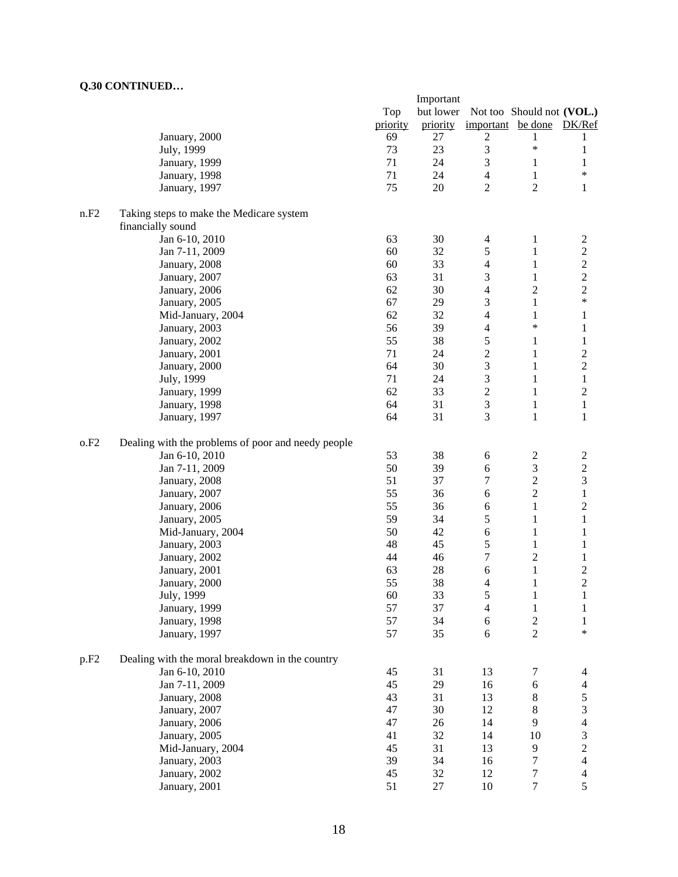|                  |                                                    |          | Important |                         |                           |                                  |
|------------------|----------------------------------------------------|----------|-----------|-------------------------|---------------------------|----------------------------------|
|                  |                                                    | Top      | but lower |                         | Not too Should not (VOL.) |                                  |
|                  |                                                    | priority | priority  | important be done       |                           | DK/Ref                           |
|                  | January, 2000                                      | 69       | 27        | $\overline{c}$          | 1                         | 1                                |
|                  | July, 1999                                         | 73       | 23        | 3                       | $\ast$                    | 1                                |
|                  | January, 1999                                      | 71       | 24        | 3                       | $\mathbf{1}$              | 1                                |
|                  | January, 1998                                      | 71       | 24        | $\overline{4}$          | $\mathbf{1}$              | $\ast$                           |
|                  | January, 1997                                      | 75       | 20        | $\overline{2}$          | $\overline{2}$            | $\mathbf{1}$                     |
| n.F2             |                                                    |          |           |                         |                           |                                  |
|                  | Taking steps to make the Medicare system           |          |           |                         |                           |                                  |
|                  | financially sound<br>Jan 6-10, 2010                | 63       | 30        | 4                       | $\mathbf{1}$              |                                  |
|                  | Jan 7-11, 2009                                     | 60       | 32        | 5                       |                           | $\overline{c}$<br>$\overline{c}$ |
|                  |                                                    | 60       | 33        |                         | 1                         | $\overline{c}$                   |
|                  | January, 2008                                      | 63       | 31        | 4                       | 1                         |                                  |
|                  | January, 2007                                      |          |           | 3                       | 1                         | $\overline{c}$                   |
|                  | January, 2006                                      | 62       | 30        | 4                       | $\overline{c}$            | $\overline{c}$<br>$\ast$         |
|                  | January, 2005                                      | 67       | 29        | 3                       | $\mathbf{1}$              |                                  |
|                  | Mid-January, 2004                                  | 62       | 32        | 4                       | 1<br>$\ast$               | 1                                |
|                  | January, 2003                                      | 56       | 39        | $\overline{4}$          |                           | 1                                |
|                  | January, 2002                                      | 55       | 38        | 5                       | 1                         | $\mathbf{1}$                     |
|                  | January, 2001                                      | 71       | 24        | $\overline{c}$          | 1                         | $\overline{c}$                   |
|                  | January, 2000                                      | 64       | 30        | 3                       | $\mathbf{1}$              | $\overline{c}$                   |
|                  | July, 1999                                         | 71       | 24        | $\mathfrak{Z}$          | $\mathbf{1}$              | $\,1$                            |
|                  | January, 1999                                      | 62       | 33        | $\overline{\mathbf{c}}$ | $\mathbf{1}$              | $\boldsymbol{2}$                 |
|                  | January, 1998                                      | 64       | 31        | 3                       | $\mathbf{1}$              | $\mathbf{1}$                     |
|                  | January, 1997                                      | 64       | 31        | 3                       | $\mathbf{1}$              | $\mathbf{1}$                     |
| 0.F2             | Dealing with the problems of poor and needy people |          |           |                         |                           |                                  |
|                  | Jan 6-10, 2010                                     | 53       | 38        | 6                       | 2                         | $\overline{c}$                   |
|                  | Jan 7-11, 2009                                     | 50       | 39        | 6                       | $\mathfrak{Z}$            | $\sqrt{2}$                       |
|                  | January, 2008                                      | 51       | 37        | 7                       | $\overline{c}$            | $\overline{3}$                   |
|                  | January, 2007                                      | 55       | 36        | 6                       | $\overline{c}$            | $\,1$                            |
|                  | January, 2006                                      | 55       | 36        | 6                       | $\mathbf{1}$              | $\boldsymbol{2}$                 |
|                  | January, 2005                                      | 59       | 34        | 5                       | 1                         | $\mathbf{1}$                     |
|                  | Mid-January, 2004                                  | 50       | 42        | 6                       | 1                         | $\mathbf{1}$                     |
|                  | January, 2003                                      | 48       | 45        | 5                       | $\mathbf{1}$              | 1                                |
|                  | January, 2002                                      | 44       | 46        | 7                       | $\overline{2}$            | 1                                |
|                  | January, 2001                                      | 63       | 28        | 6                       | $\mathbf{1}$              | $\overline{\mathbf{c}}$          |
|                  | January, 2000                                      | 55       | 38        | 4                       | 1                         | $\overline{c}$                   |
|                  | July, 1999                                         | 60       | 33        | 5                       | 1                         | 1                                |
|                  | January, 1999                                      | 57       | 37        | $\overline{4}$          | $\mathbf{1}$              | 1                                |
|                  | January, 1998                                      | 57       | 34        | 6                       | $\sqrt{2}$                | $\mathbf{1}$                     |
|                  | January, 1997                                      | 57       | 35        | 6                       | $\overline{2}$            | $\ast$                           |
|                  |                                                    |          |           |                         |                           |                                  |
| p.F <sub>2</sub> | Dealing with the moral breakdown in the country    |          |           |                         |                           |                                  |
|                  | Jan 6-10, 2010                                     | 45       | 31        | 13                      | $\tau$                    | $\overline{4}$                   |
|                  | Jan 7-11, 2009                                     | 45       | 29        | 16                      | $\epsilon$                | $\overline{\mathcal{L}}$         |
|                  | January, 2008                                      | 43       | 31        | 13                      | $8\,$                     | 5                                |
|                  | January, 2007                                      | 47       | 30        | 12                      | 8                         | 3                                |
|                  | January, 2006                                      | 47       | 26        | 14                      | 9                         | $\overline{4}$                   |
|                  | January, 2005                                      | 41       | 32        | 14                      | 10                        | 3                                |
|                  | Mid-January, 2004                                  | 45       | 31        | 13                      | 9                         | $\overline{c}$                   |
|                  | January, 2003                                      | 39       | 34        | 16                      | 7                         | $\overline{4}$                   |
|                  | January, 2002                                      | 45       | 32        | 12                      | 7                         | $\overline{\mathcal{A}}$         |
|                  | January, 2001                                      | 51       | 27        | 10                      | $\boldsymbol{7}$          | 5                                |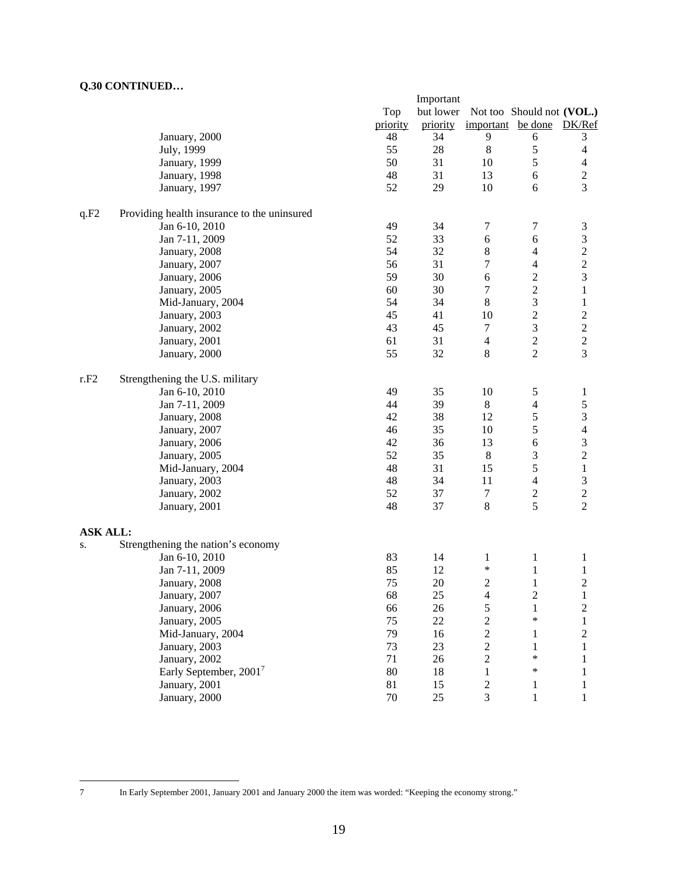|                 |                                             |          | Important |                   |                           |                                            |
|-----------------|---------------------------------------------|----------|-----------|-------------------|---------------------------|--------------------------------------------|
|                 |                                             | Top      | but lower |                   | Not too Should not (VOL.) |                                            |
|                 |                                             | priority | priority  | important be done |                           | DK/Ref                                     |
|                 | January, 2000                               | 48       | 34        | 9                 | 6                         | 3                                          |
|                 | July, 1999                                  | 55       | 28        | $\,8\,$           | 5                         | $\overline{4}$                             |
|                 | January, 1999                               | 50       | 31        | 10                | 5                         | $\overline{4}$                             |
|                 | January, 1998                               | 48       | 31        | 13                | $\sqrt{6}$                | $\overline{c}$                             |
|                 | January, 1997                               | 52       | 29        | 10                | 6                         | $\overline{3}$                             |
| q.F2            | Providing health insurance to the uninsured |          |           |                   |                           |                                            |
|                 | Jan 6-10, 2010                              | 49       | 34        | 7                 | 7                         | $\mathfrak{Z}$                             |
|                 | Jan 7-11, 2009                              | 52       | 33        | 6                 | 6                         | $\mathfrak{Z}$                             |
|                 | January, 2008                               | 54       | 32        | 8                 | $\overline{\mathbf{4}}$   | $\overline{c}$                             |
|                 | January, 2007                               | 56       | 31        | 7                 | $\overline{\mathbf{4}}$   | $\overline{\mathbf{c}}$                    |
|                 | January, 2006                               | 59       | 30        | 6                 | $\sqrt{2}$                | 3                                          |
|                 | January, 2005                               | 60       | 30        | $\tau$            | $\sqrt{2}$                | $\mathbf{1}$                               |
|                 | Mid-January, 2004                           | 54       | 34        | $\,8\,$           | $\overline{\mathbf{3}}$   | $\mathbf{1}$                               |
|                 | January, 2003                               | 45       | 41        | 10                | $\overline{c}$            | $\overline{\mathbf{c}}$                    |
|                 | January, 2002                               | 43       | 45        | $\boldsymbol{7}$  | $\overline{\mathbf{3}}$   |                                            |
|                 | January, 2001                               | 61       | 31        | $\overline{4}$    | $\overline{c}$            | $\begin{array}{c} 2 \\ 2 \\ 3 \end{array}$ |
|                 | January, 2000                               | 55       | 32        | 8                 | $\overline{2}$            |                                            |
| r.F2            | Strengthening the U.S. military             |          |           |                   |                           |                                            |
|                 | Jan 6-10, 2010                              | 49       | 35        | 10                | 5                         | $\mathbf{1}$                               |
|                 | Jan 7-11, 2009                              | 44       | 39        | $8\,$             | 4                         | 5                                          |
|                 | January, 2008                               | 42       | 38        | 12                | 5                         | $\mathfrak{Z}$                             |
|                 | January, 2007                               | 46       | 35        | 10                | 5                         | $\overline{\mathcal{L}}$                   |
|                 | January, 2006                               | 42       | 36        | 13                | $\epsilon$                | 3                                          |
|                 | January, 2005                               | 52       | 35        | $\,8\,$           | 3                         | $\overline{\mathbf{c}}$                    |
|                 | Mid-January, 2004                           | 48       | 31        | 15                | 5                         | $\mathbf{1}$                               |
|                 | January, 2003                               | 48       | 34        | 11                | $\overline{4}$            | 3                                          |
|                 | January, 2002                               | 52       | 37        | $\tau$            |                           | $\overline{c}$                             |
|                 | January, 2001                               | 48       | 37        | $\,8\,$           | $rac{2}{5}$               | $\overline{2}$                             |
| <b>ASK ALL:</b> |                                             |          |           |                   |                           |                                            |
| S.              | Strengthening the nation's economy          |          |           |                   |                           |                                            |
|                 | Jan 6-10, 2010                              | 83       | 14        | $\mathbf{1}$      | $\mathbf{1}$              | $\mathbf{1}$                               |
|                 | Jan 7-11, 2009                              | 85       | 12        | $\ast$            | $\mathbf{1}$              | $\mathbf{1}$                               |
|                 | January, 2008                               | 75       | 20        | 2                 | $\mathbf{1}$              | $\overline{2}$                             |
|                 | January, 2007                               | 68       | 25        | $\overline{4}$    | 2                         | 1                                          |
|                 | January, 2006                               | 66       | 26        | 5                 | $\mathbf{1}$              | $\overline{c}$                             |
|                 | January, 2005                               | 75       | 22        | $\overline{c}$    | $\ast$                    | $\mathbf{1}$                               |
|                 | Mid-January, 2004                           | 79       | 16        | $\overline{c}$    | $\mathbf{1}$              | $\sqrt{2}$                                 |
|                 | January, 2003                               | 73       | 23        | $\overline{c}$    | $\mathbf{1}$              | 1                                          |
|                 | January, 2002                               | 71       | 26        | $\boldsymbol{2}$  | $\ast$                    | 1                                          |
|                 | Early September, 2001 <sup>7</sup>          | 80       | 18        | $\mathbf{1}$      | $\ast$                    | $\mathbf{1}$                               |
|                 | January, 2001                               | 81       | 15        | $\sqrt{2}$        | $\mathbf{1}$              | $\mathbf{1}$                               |
|                 | January, 2000                               | 70       | 25        | 3                 | $\mathbf{1}$              | $\mathbf{1}$                               |

 $\overline{7}$ 

<sup>7</sup> In Early September 2001, January 2001 and January 2000 the item was worded: "Keeping the economy strong."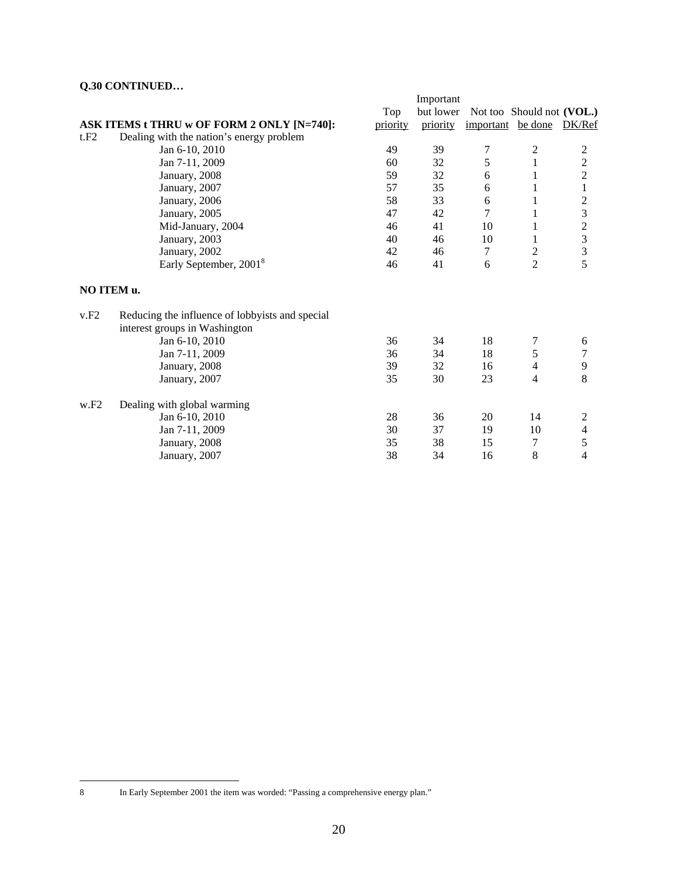|            |                                                 |          | Important |                   |                           |                         |
|------------|-------------------------------------------------|----------|-----------|-------------------|---------------------------|-------------------------|
|            |                                                 | Top      | but lower |                   | Not too Should not (VOL.) |                         |
|            | ASK ITEMS t THRU w OF FORM 2 ONLY [N=740]:      | priority | priority  | important be done |                           | DK/Ref                  |
| t.F2       | Dealing with the nation's energy problem        |          |           |                   |                           |                         |
|            | Jan 6-10, 2010                                  | 49       | 39        | 7                 | 2                         | 2                       |
|            | Jan 7-11, 2009                                  | 60       | 32        | 5                 | $\mathbf{1}$              |                         |
|            | January, 2008                                   | 59       | 32        | 6                 | 1                         | $\frac{2}{2}$           |
|            | January, 2007                                   | 57       | 35        | 6                 | 1                         | $\mathbf{1}$            |
|            | January, 2006                                   | 58       | 33        | 6                 | 1                         | $\overline{c}$          |
|            | January, 2005                                   | 47       | 42        | 7                 | 1                         | 3                       |
|            | Mid-January, 2004                               | 46       | 41        | 10                | 1                         |                         |
|            | January, 2003                                   | 40       | 46        | 10                | 1                         | $\frac{2}{3}$           |
|            | January, 2002                                   | 42       | 46        | 7                 | $\overline{c}$            | $\overline{\mathbf{3}}$ |
|            | Early September, 2001 <sup>8</sup>              | 46       | 41        | 6                 | $\overline{2}$            | $\overline{5}$          |
| NO ITEM u. |                                                 |          |           |                   |                           |                         |
| v.F2       | Reducing the influence of lobbyists and special |          |           |                   |                           |                         |
|            | interest groups in Washington                   |          |           |                   |                           |                         |
|            | Jan 6-10, 2010                                  | 36       | 34        | 18                | 7                         | 6                       |
|            | Jan 7-11, 2009                                  | 36       | 34        | 18                | 5                         | $\tau$                  |
|            | January, 2008                                   | 39       | 32        | 16                | 4                         | $\mathbf{9}$            |
|            | January, 2007                                   | 35       | 30        | 23                | $\overline{4}$            | 8                       |
| W.F2       | Dealing with global warming                     |          |           |                   |                           |                         |
|            | Jan 6-10, 2010                                  | 28       | 36        | 20                | 14                        | $\boldsymbol{2}$        |
|            | Jan 7-11, 2009                                  | 30       | 37        | 19                | 10                        | $\overline{4}$          |
|            | January, 2008                                   | 35       | 38        | 15                | 7                         | 5                       |
|            | January, 2007                                   | 38       | 34        | 16                | 8                         | $\overline{4}$          |

 $\,8\,$ 

In Early September 2001 the item was worded: "Passing a comprehensive energy plan."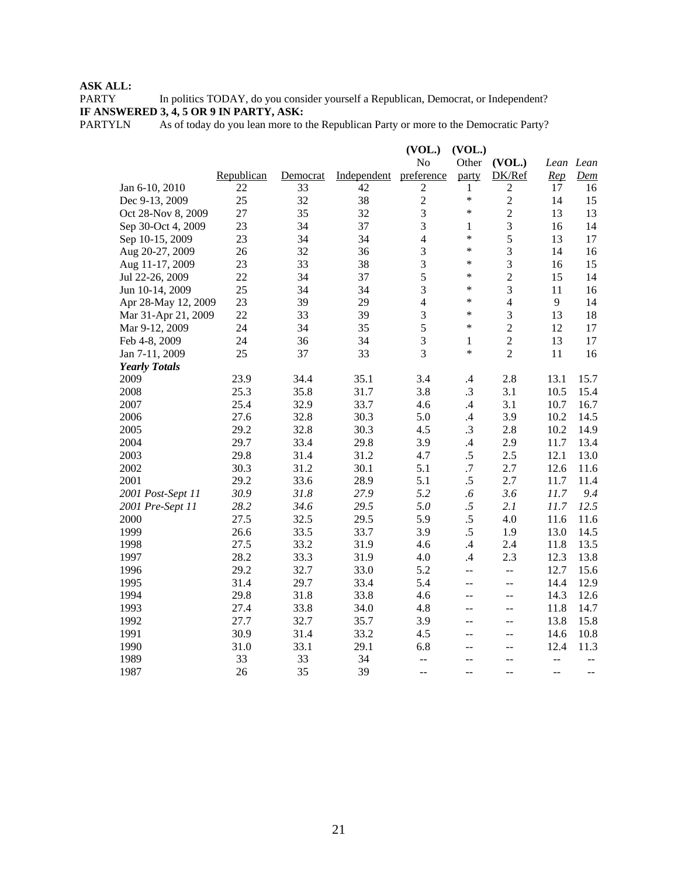PARTY In politics TODAY, do you consider yourself a Republican, Democrat, or Independent? **IF ANSWERED 3, 4, 5 OR 9 IN PARTY, ASK:**

PARTYLN As of today do you lean more to the Republican Party or more to the Democratic Party?

|                      |            |          |             | (VOL.)         | (VOL.)               |                          |                |                                               |
|----------------------|------------|----------|-------------|----------------|----------------------|--------------------------|----------------|-----------------------------------------------|
|                      |            |          |             | No             | Other                | (VOL.)                   | Lean Lean      |                                               |
|                      | Republican | Democrat | Independent | preference     | party                | DK/Ref                   | Rep            | Dem                                           |
| Jan 6-10, 2010       | 22         | 33       | 42          | $\overline{2}$ | 1                    | $\overline{c}$           | 17             | 16                                            |
| Dec 9-13, 2009       | 25         | 32       | 38          | $\overline{2}$ | $\ast$               | $\sqrt{2}$               | 14             | 15                                            |
| Oct 28-Nov 8, 2009   | 27         | 35       | 32          | $\mathfrak{Z}$ | $\ast$               | $\sqrt{2}$               | 13             | 13                                            |
| Sep 30-Oct 4, 2009   | 23         | 34       | 37          | 3              | 1                    | $\mathfrak{Z}$           | 16             | 14                                            |
| Sep 10-15, 2009      | 23         | 34       | 34          | $\overline{4}$ | $\ast$               | 5                        | 13             | 17                                            |
| Aug 20-27, 2009      | 26         | 32       | 36          | $\mathfrak{Z}$ | $\ast$               | $\mathfrak{Z}$           | 14             | 16                                            |
| Aug 11-17, 2009      | 23         | 33       | 38          | $\mathfrak{Z}$ | $\ast$               | 3                        | 16             | 15                                            |
| Jul 22-26, 2009      | 22         | 34       | 37          | 5              | $\ast$               | $\overline{c}$           | 15             | 14                                            |
| Jun 10-14, 2009      | 25         | 34       | 34          | $\overline{3}$ | $\ast$               | 3                        | 11             | 16                                            |
| Apr 28-May 12, 2009  | 23         | 39       | 29          | $\overline{4}$ | $\ast$               | $\overline{4}$           | 9              | 14                                            |
| Mar 31-Apr 21, 2009  | 22         | 33       | 39          | $\overline{3}$ | $\ast$               | 3                        | 13             | 18                                            |
| Mar 9-12, 2009       | 24         | 34       | 35          | 5              | $\ast$               | $\sqrt{2}$               | 12             | 17                                            |
| Feb 4-8, 2009        | 24         | 36       | 34          | 3              | $\mathbf{1}$         | $\sqrt{2}$               | 13             | 17                                            |
| Jan 7-11, 2009       | 25         | 37       | 33          | 3              | $\ast$               | $\overline{2}$           | 11             | 16                                            |
| <b>Yearly Totals</b> |            |          |             |                |                      |                          |                |                                               |
| 2009                 | 23.9       | 34.4     | 35.1        | 3.4            | $\mathcal{A}$        | 2.8                      | 13.1           | 15.7                                          |
| 2008                 | 25.3       | 35.8     | 31.7        | 3.8            | .3                   | 3.1                      | 10.5           | 15.4                                          |
| 2007                 | 25.4       | 32.9     | 33.7        | 4.6            | $\mathcal{A}$        | 3.1                      | 10.7           | 16.7                                          |
| 2006                 | 27.6       | 32.8     | 30.3        | 5.0            | $\mathcal{A}$        | 3.9                      | 10.2           | 14.5                                          |
| 2005                 | 29.2       | 32.8     | 30.3        | 4.5            | $\cdot$ 3            | 2.8                      | 10.2           | 14.9                                          |
| 2004                 | 29.7       | 33.4     | 29.8        | 3.9            | $\mathcal{A}$        | 2.9                      | 11.7           | 13.4                                          |
| 2003                 | 29.8       | 31.4     | 31.2        | 4.7            | $.5\,$               | 2.5                      | 12.1           | 13.0                                          |
| 2002                 | 30.3       | 31.2     | 30.1        | 5.1            | $.7\,$               | 2.7                      | 12.6           | 11.6                                          |
| 2001                 | 29.2       | 33.6     | 28.9        | 5.1            | $.5\,$               | 2.7                      | 11.7           | 11.4                                          |
| 2001 Post-Sept 11    | 30.9       | 31.8     | 27.9        | 5.2            | $\cdot$ <sub>6</sub> | 3.6                      | 11.7           | 9.4                                           |
| 2001 Pre-Sept 11     | 28.2       | 34.6     | 29.5        | 5.0            | .5                   | 2.1                      | 11.7           | 12.5                                          |
| 2000                 | 27.5       | 32.5     | 29.5        | 5.9            | $.5\,$               | 4.0                      | 11.6           | 11.6                                          |
| 1999                 | 26.6       | 33.5     | 33.7        | 3.9            | $.5\,$               | 1.9                      | 13.0           | 14.5                                          |
| 1998                 | 27.5       | 33.2     | 31.9        | 4.6            | .4                   | 2.4                      | 11.8           | 13.5                                          |
| 1997                 | 28.2       | 33.3     | 31.9        | 4.0            | $\mathcal{A}$        | 2.3                      | 12.3           | 13.8                                          |
| 1996                 | 29.2       | 32.7     | 33.0        | 5.2            | 44                   | $\overline{a}$           | 12.7           | 15.6                                          |
| 1995                 | 31.4       | 29.7     | 33.4        | 5.4            | $\overline{a}$       | $\overline{\phantom{m}}$ | 14.4           | 12.9                                          |
| 1994                 | 29.8       | 31.8     | 33.8        | 4.6            | $-$                  | $\overline{a}$           | 14.3           | 12.6                                          |
| 1993                 | 27.4       | 33.8     | 34.0        | 4.8            | $-$                  | $\mathbf{u}$             | 11.8           | 14.7                                          |
| 1992                 | 27.7       | 32.7     | 35.7        | 3.9            | $-$                  | $\mathbf{u}$             | 13.8           | 15.8                                          |
| 1991                 | 30.9       | 31.4     | 33.2        | 4.5            | $\overline{a}$       | $\overline{a}$           | 14.6           | 10.8                                          |
| 1990                 | 31.0       | 33.1     | 29.1        | 6.8            | $-$                  | $\overline{a}$           | 12.4           | 11.3                                          |
| 1989                 | 33         | 33       | 34          | $\overline{a}$ | $-$                  | $-$                      | --             | $\mathord{\hspace{1pt}\text{--}\hspace{1pt}}$ |
| 1987                 | 26         | 35       | 39          | $-$            |                      |                          | $\overline{a}$ | $-$                                           |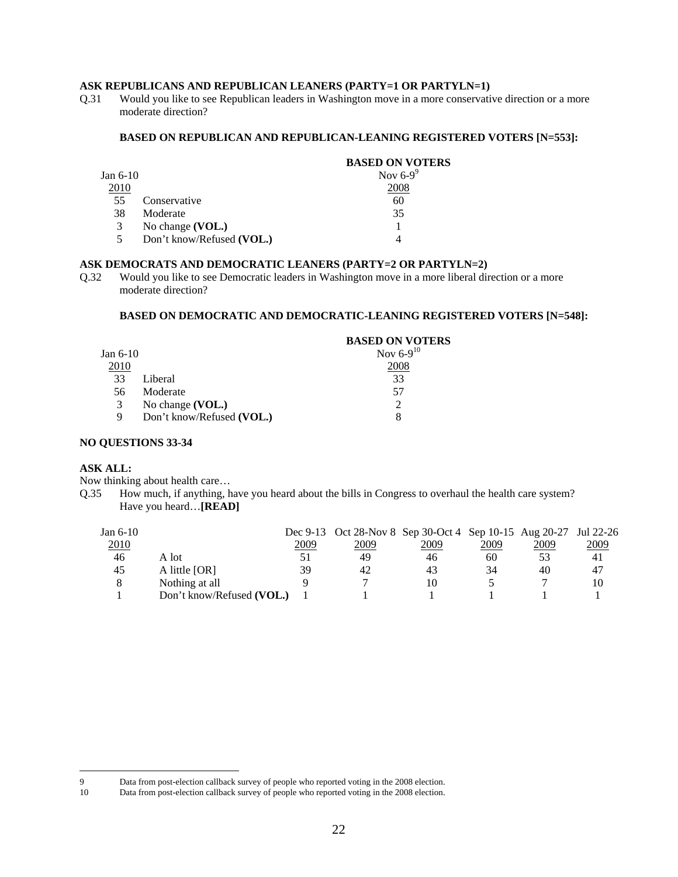## **ASK REPUBLICANS AND REPUBLICAN LEANERS (PARTY=1 OR PARTYLN=1)**

Q.31 Would you like to see Republican leaders in Washington move in a more conservative direction or a more moderate direction?

#### **BASED ON REPUBLICAN AND REPUBLICAN-LEANING REGISTERED VOTERS [N=553]:**

|                           | <b>BASED ON VOTERS</b> |
|---------------------------|------------------------|
|                           | Nov $6-9^\circ$        |
|                           | 2008                   |
| Conservative              | 60                     |
| Moderate                  | 35                     |
| No change (VOL.)          |                        |
| Don't know/Refused (VOL.) |                        |
|                           | Jan $6-10$             |

## **ASK DEMOCRATS AND DEMOCRATIC LEANERS (PARTY=2 OR PARTYLN=2)**

Q.32 Would you like to see Democratic leaders in Washington move in a more liberal direction or a more moderate direction?

#### **BASED ON DEMOCRATIC AND DEMOCRATIC-LEANING REGISTERED VOTERS [N=548]:**

|            |                           | <b>BASED ON VOTERS</b> |
|------------|---------------------------|------------------------|
| Jan $6-10$ |                           | Nov $6-9^{10}$         |
| 2010       |                           | 2008                   |
| 33         | Liberal                   | 33                     |
| 56         | Moderate                  | 57                     |
| 3          | No change $(VOL.)$        |                        |
| 9          | Don't know/Refused (VOL.) |                        |

#### **NO QUESTIONS 33-34**

#### **ASK ALL:**

 $\overline{a}$ 

Now thinking about health care…

Q.35 How much, if anything, have you heard about the bills in Congress to overhaul the health care system? Have you heard…**[READ]**

| Jan $6-10$  |                           |      | Dec 9-13 Oct 28-Nov 8 Sep 30-Oct 4 Sep 10-15 Aug 20-27 Jul 22-26 |      |      |      |      |
|-------------|---------------------------|------|------------------------------------------------------------------|------|------|------|------|
| <u>2010</u> |                           | 2009 | 2009                                                             | 2009 | 2009 | 2009 | 2009 |
| 46          | A lot                     |      | 49                                                               | 46   | 60   | 53   | 41   |
| 45          | A little [OR]             | 39   | 42                                                               | 43   | 34   | 40   | 47   |
|             | Nothing at all            |      |                                                                  | 10   |      |      | 10   |
|             | Don't know/Refused (VOL.) |      |                                                                  |      |      |      |      |

<sup>9</sup> Data from post-election callback survey of people who reported voting in the 2008 election.<br>10 Data from post-election callback survey of people who reported voting in the 2008 election.

Data from post-election callback survey of people who reported voting in the 2008 election.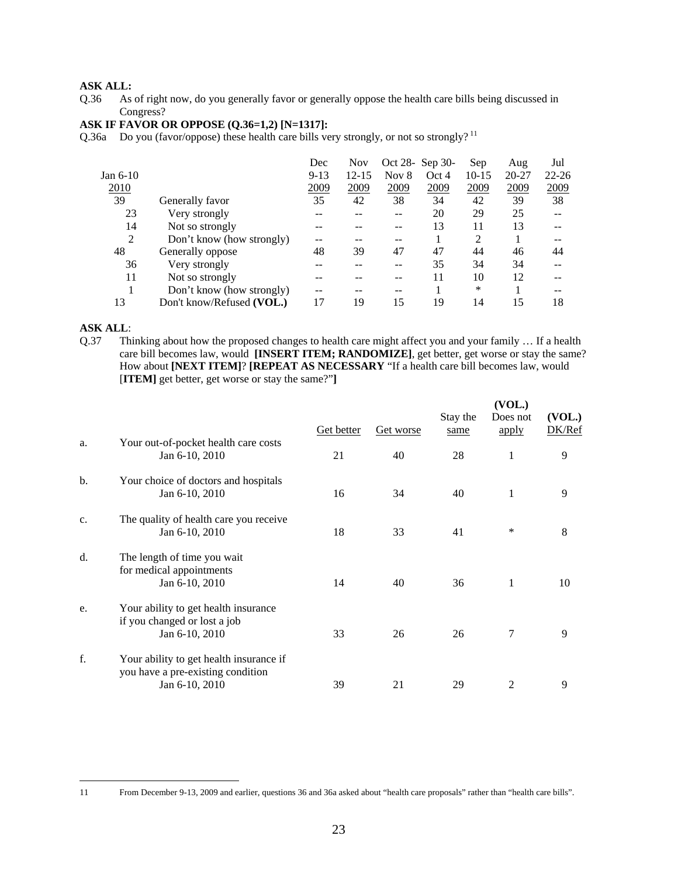Q.36 As of right now, do you generally favor or generally oppose the health care bills being discussed in Congress?

# **ASK IF FAVOR OR OPPOSE (Q.36=1,2) [N=1317]:**

Q.36a Do you (favor/oppose) these health care bills very strongly, or not so strongly?<sup>11</sup>

|                           | Dec      | <b>Nov</b> |         |       | Sep             | Aug   | Jul       |
|---------------------------|----------|------------|---------|-------|-----------------|-------|-----------|
|                           | $9 - 13$ | $12 - 15$  | Nov $8$ | Oct 4 | $10-15$         | 20-27 | $22 - 26$ |
|                           | 2009     | 2009       | 2009    | 2009  | 2009            | 2009  | 2009      |
| Generally favor           | 35       | 42         | 38      | 34    | 42              | 39    | 38        |
| Very strongly             |          |            |         | 20    | 29              | 25    |           |
| Not so strongly           |          |            |         | 13    | 11              | 13    |           |
| Don't know (how strongly) |          |            |         |       | 2               |       |           |
| Generally oppose          | 48       | 39         | 47      | 47    | 44              | 46    | 44        |
| Very strongly             |          |            |         | 35    | 34              | 34    |           |
| Not so strongly           |          |            |         | 11    | 10              | 12    |           |
| Don't know (how strongly) | --       |            | --      |       | *               |       | --        |
| Don't know/Refused (VOL.) | 17       | 19         | 15      | 19    | 14              | 15    | 18        |
|                           |          |            |         |       | Oct 28- Sep 30- |       |           |

# **ASK ALL:**<br>Q.37 Th

Thinking about how the proposed changes to health care might affect you and your family ... If a health care bill becomes law, would **[INSERT ITEM; RANDOMIZE]**, get better, get worse or stay the same? How about **[NEXT ITEM]**? **[REPEAT AS NECESSARY** "If a health care bill becomes law, would [**ITEM]** get better, get worse or stay the same?"**]**

|    |                                                                                                | <u>Get better</u> | Get worse | Stay the<br>same | (VOL.)<br>Does not<br>apply | (VOL.)<br>DK/Ref |
|----|------------------------------------------------------------------------------------------------|-------------------|-----------|------------------|-----------------------------|------------------|
| a. | Your out-of-pocket health care costs<br>Jan 6-10, 2010                                         | 21                | 40        | 28               | 1                           | 9                |
| b. | Your choice of doctors and hospitals<br>Jan 6-10, 2010                                         | 16                | 34        | 40               | 1                           | 9                |
| c. | The quality of health care you receive<br>Jan 6-10, 2010                                       | 18                | 33        | 41               | ∗                           | 8                |
| d. | The length of time you wait<br>for medical appointments<br>Jan 6-10, 2010                      | 14                | 40        | 36               | 1                           | 10               |
| e. | Your ability to get health insurance<br>if you changed or lost a job<br>Jan 6-10, 2010         | 33                | 26        | 26               | 7                           | 9                |
| f. | Your ability to get health insurance if<br>you have a pre-existing condition<br>Jan 6-10, 2010 | 39                | 21        | 29               | 2                           | 9                |

 $11$ 

<sup>11</sup> From December 9-13, 2009 and earlier, questions 36 and 36a asked about "health care proposals" rather than "health care bills".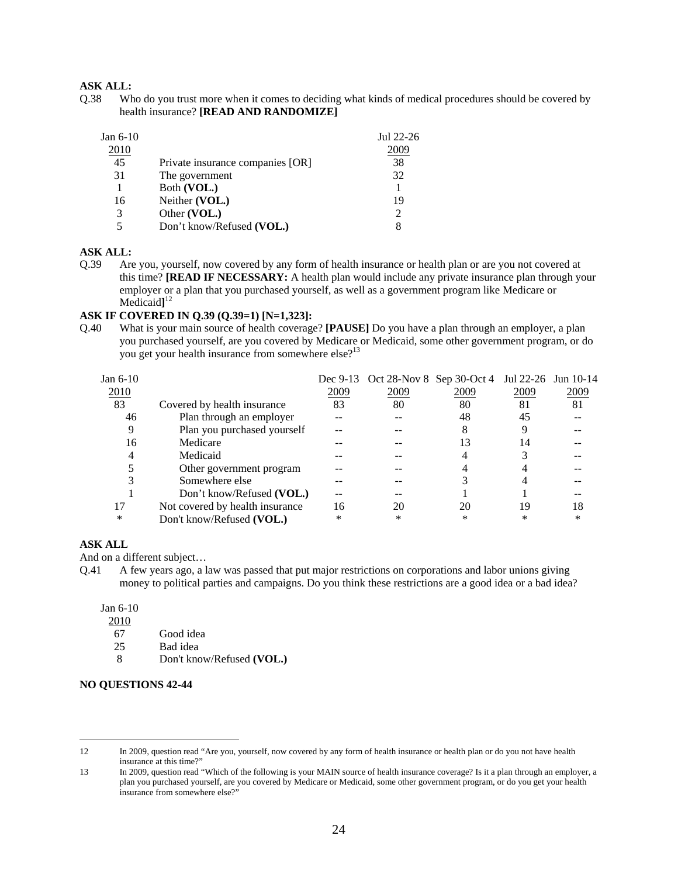Q.38 Who do you trust more when it comes to deciding what kinds of medical procedures should be covered by health insurance? **[READ AND RANDOMIZE]** 

| Jul 22-26<br>2009                      |
|----------------------------------------|
| 38                                     |
| 32                                     |
|                                        |
|                                        |
|                                        |
|                                        |
| 19<br>$\mathcal{D}_{\mathcal{L}}$<br>8 |

## **ASK ALL:**

Q.39 Are you, yourself, now covered by any form of health insurance or health plan or are you not covered at this time? **[READ IF NECESSARY:** A health plan would include any private insurance plan through your employer or a plan that you purchased yourself, as well as a government program like Medicare or Medicaid**]** 12

#### **ASK IF COVERED IN Q.39 (Q.39=1) [N=1,323]:**

Q.40 What is your main source of health coverage? **[PAUSE]** Do you have a plan through an employer, a plan you purchased yourself, are you covered by Medicare or Medicaid, some other government program, or do you get your health insurance from somewhere else?<sup>13</sup>

| Jan 6-10 |                                 |      | Dec 9-13 Oct 28-Nov 8 Sep 30-Oct 4 Jul 22-26 Jun 10-14 |        |      |      |
|----------|---------------------------------|------|--------------------------------------------------------|--------|------|------|
| 2010     |                                 | 2009 | 2009                                                   | 2009   | 2009 | 2009 |
| 83       | Covered by health insurance     | 83   | 80                                                     | 80     | 81   | 81   |
| 46       | Plan through an employer        |      |                                                        | 48     | 45   |      |
| 9        | Plan you purchased yourself     |      |                                                        |        |      |      |
| 16       | Medicare                        |      |                                                        | 13     | 14   |      |
| 4        | Medicaid                        |      |                                                        |        |      |      |
|          | Other government program        |      |                                                        |        |      |      |
|          | Somewhere else                  |      |                                                        |        |      |      |
|          | Don't know/Refused (VOL.)       |      |                                                        |        |      |      |
|          | Not covered by health insurance | 16   | 20                                                     | 20     | 19   | 18   |
| $\ast$   | Don't know/Refused (VOL.)       | *    | ∗                                                      | $\ast$ | *    | ∗    |

#### **ASK ALL**

And on a different subject…

Q.41 A few years ago, a law was passed that put major restrictions on corporations and labor unions giving money to political parties and campaigns. Do you think these restrictions are a good idea or a bad idea?

Jan 6-10

2010

 $\overline{a}$ 

- 67 Good idea
- 25 Bad idea
- 8 Don't know/Refused **(VOL.)**

#### **NO QUESTIONS 42-44**

<sup>12</sup> In 2009, question read "Are you, yourself, now covered by any form of health insurance or health plan or do you not have health insurance at this time?"

<sup>13</sup> In 2009, question read "Which of the following is your MAIN source of health insurance coverage? Is it a plan through an employer, a plan you purchased yourself, are you covered by Medicare or Medicaid, some other government program, or do you get your health insurance from somewhere else?"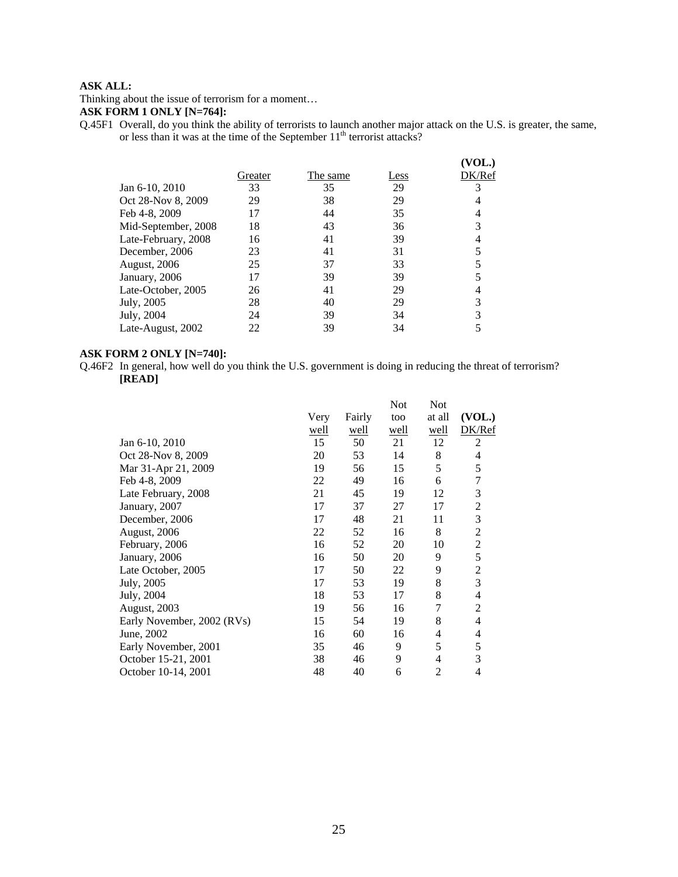Thinking about the issue of terrorism for a moment…

# **ASK FORM 1 ONLY [N=764]:**

Q.45F1 Overall, do you think the ability of terrorists to launch another major attack on the U.S. is greater, the same, or less than it was at the time of the September  $11<sup>th</sup>$  terrorist attacks?

|                     |         |          |      | VOL.)  |
|---------------------|---------|----------|------|--------|
|                     | Greater | The same | Less | DK/Ref |
| Jan 6-10, 2010      | 33      | 35       | 29   |        |
| Oct 28-Nov 8, 2009  | 29      | 38       | 29   |        |
| Feb 4-8, 2009       | 17      | 44       | 35   |        |
| Mid-September, 2008 | 18      | 43       | 36   |        |
| Late-February, 2008 | 16      | 41       | 39   |        |
| December, 2006      | 23      | 41       | 31   |        |
| August, 2006        | 25      | 37       | 33   |        |
| January, 2006       |         | 39       | 39   |        |
| Late-October, 2005  | 26      | 41       | 29   |        |
| July, 2005          | 28      | 40       | 29   |        |
| July, 2004          | 24      | 39       | 34   |        |
| Late-August, 2002   | 22      | 39       | 34   |        |

## **ASK FORM 2 ONLY [N=740]:**

Q.46F2 In general, how well do you think the U.S. government is doing in reducing the threat of terrorism? **[READ]**

|                            |                |        | <b>Not</b> | Not            |                |
|----------------------------|----------------|--------|------------|----------------|----------------|
|                            | Very           | Fairly | too        | at all         | (VOL.)         |
|                            | well           | well   | well       | well           | DK/Ref         |
| Jan 6-10, 2010             | 15             | 50     | 21         | 12             | $\overline{2}$ |
| Oct 28-Nov 8, 2009         | 20             | 53     | 14         | 8              | 4              |
| Mar 31-Apr 21, 2009        | 19             | 56     | 15         | 5              | 5              |
| Feb 4-8, 2009              | 22             | 49     | 16         | 6              | 7              |
| Late February, 2008        | 21             | 45     | 19         | 12             | 3              |
| January, 2007              | 17             | 37     | 27         | 17             | $\overline{2}$ |
| December, 2006             | 17             | 48     | 21         | 11             | 3              |
| August, 2006               | 22             | 52     | 16         | 8              | 2              |
|                            | 16             | 52     | 20         | 10             | $\overline{2}$ |
| January, 2006              | 16             | 50     | 20         | 9              | 5              |
| Late October, 2005         | 17             | 50     | 22         | 9              | 2              |
| July, 2005                 | 17             | 53     | 19         | 8              | 3              |
| July, 2004                 | 18             | 53     | 17         | 8              | 4              |
| <b>August, 2003</b>        | 19             | 56     | 16         | $\overline{7}$ | $\overline{2}$ |
| Early November, 2002 (RVs) | 15             | 54     | 19         | 8              | 4              |
| June, 2002                 | 16             | 60     | 16         | 4              | 4              |
| Early November, 2001       | 35             | 46     | 9          | 5              | 5              |
| October 15-21, 2001        | 38             | 46     | 9          | 4              | 3              |
| October 10-14, 2001        | 48             | 40     | 6          | $\overline{2}$ | 4              |
|                            | February, 2006 |        |            |                |                |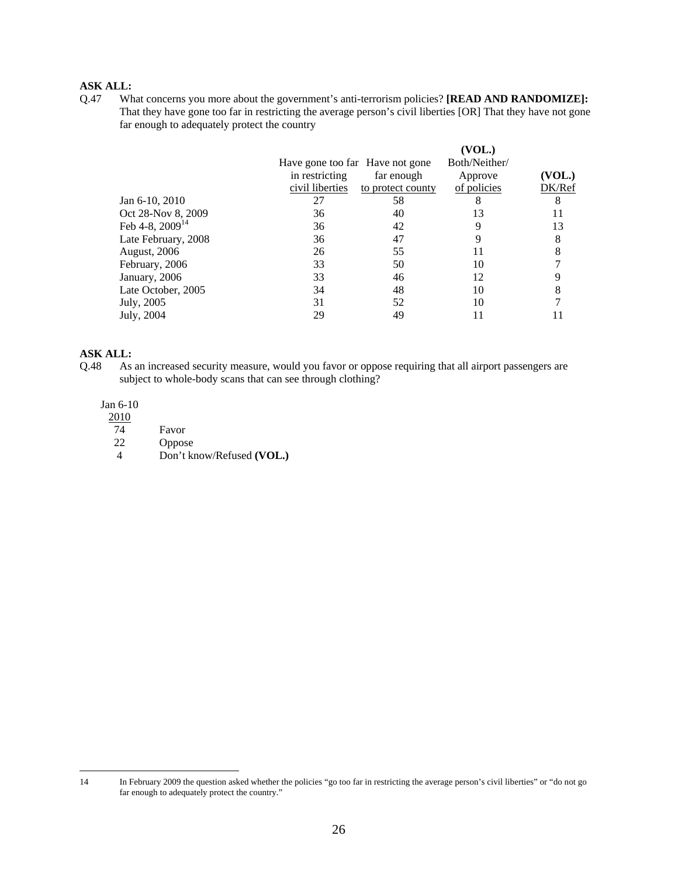Q.47 What concerns you more about the government's anti-terrorism policies? **[READ AND RANDOMIZE]:** That they have gone too far in restricting the average person's civil liberties [OR] That they have not gone far enough to adequately protect the country

|                      |                 |                                 | (VOL.)        |        |
|----------------------|-----------------|---------------------------------|---------------|--------|
|                      |                 | Have gone too far Have not gone | Both/Neither/ |        |
|                      | in restricting  | far enough                      | Approve       | VOL.)  |
|                      | civil liberties | to protect county               | of policies   | DK/Ref |
| Jan 6-10, 2010       | 27              | 58                              | 8             | 8      |
| Oct 28-Nov 8, 2009   | 36              | 40                              | 13            |        |
| Feb 4-8, $2009^{14}$ | 36              | 42                              | 9             | 13     |
| Late February, 2008  | 36              | 47                              |               | 8      |
| <b>August, 2006</b>  | 26              | 55                              | 11            | 8      |
| February, 2006       | 33              | 50                              | 10            |        |
| January, 2006        | 33              | 46                              | 12            |        |
| Late October, 2005   | 34              | 48                              | 10            |        |
| July, 2005           | 31              | 52                              | 10            |        |
| July, 2004           | 29              | 49                              | 11            |        |
|                      |                 |                                 |               |        |

# **ASK ALL:**<br>Q.48 As

As an increased security measure, would you favor or oppose requiring that all airport passengers are subject to whole-body scans that can see through clothing?

## Jan 6-10

| 2010 |                           |
|------|---------------------------|
| 74   | Favor                     |
| 22   | <b>Oppose</b>             |
|      | Don't know/Refused (VOL.) |

 $14$ 14 In February 2009 the question asked whether the policies "go too far in restricting the average person's civil liberties" or "do not go far enough to adequately protect the country."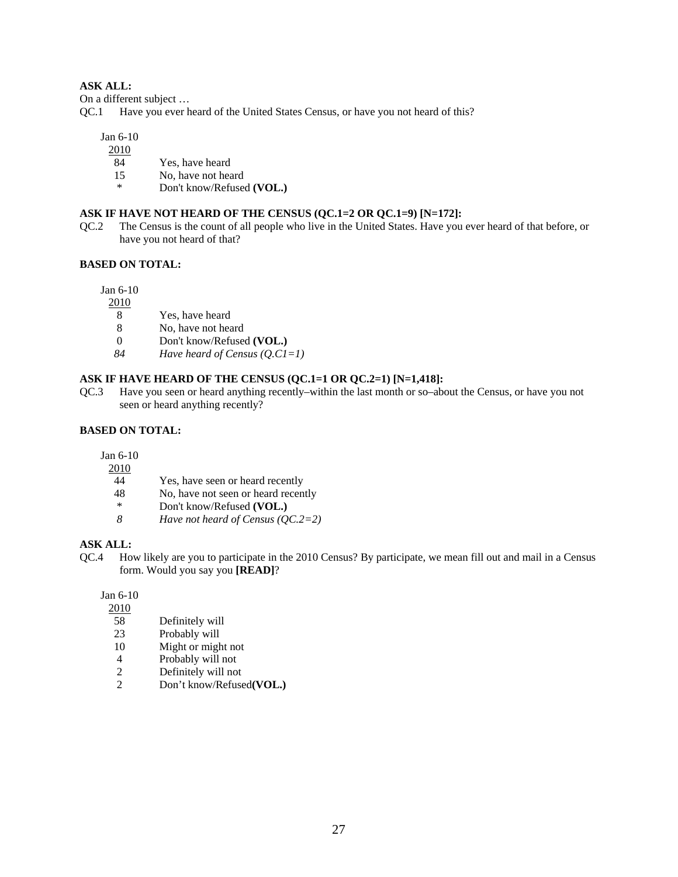On a different subject ...<br>QC.1 Have you ever h

Have you ever heard of the United States Census, or have you not heard of this?

Jan 6-10

2010

- 84 Yes, have heard
- 15 No, have not heard
- \* Don't know/Refused **(VOL.)**

# **ASK IF HAVE NOT HEARD OF THE CENSUS (QC.1=2 OR QC.1=9) [N=172]:**

QC.2 The Census is the count of all people who live in the United States. Have you ever heard of that before, or have you not heard of that?

## **BASED ON TOTAL:**

Jan 6-10

- 2010
	- 8 Yes, have heard
	- 8 No, have not heard<br>0 Don't know/Refuse
	- 0 Don't know/Refused **(VOL.)**
- *84 Have heard of Census (Q.C1=1)*

# **ASK IF HAVE HEARD OF THE CENSUS (QC.1=1 OR QC.2=1) [N=1,418]:**

QC.3 Have you seen or heard anything recently–within the last month or so–about the Census, or have you not seen or heard anything recently?

#### **BASED ON TOTAL:**

Jan 6-10

- 2010
- 44 Yes, have seen or heard recently<br>48 No. have not seen or heard recen
- No, have not seen or heard recently
- \* Don't know/Refused **(VOL.)**
- *8 Have not heard of Census (QC.2=2)*

#### **ASK ALL:**

QC.4 How likely are you to participate in the 2010 Census? By participate, we mean fill out and mail in a Census form. Would you say you **[READ]**?

Jan 6-10

- $\frac{2010}{58}$
- Definitely will
- 23 Probably will
- 10 Might or might not
- 4 Probably will not
- 2 Definitely will not
- 2 Don't know/Refused**(VOL.)**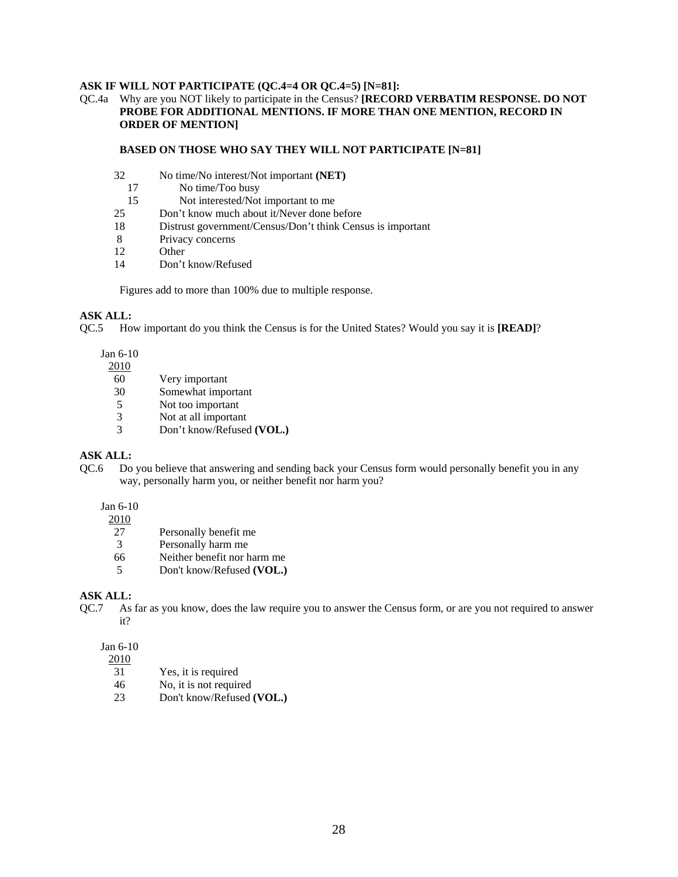#### **ASK IF WILL NOT PARTICIPATE (QC.4=4 OR QC.4=5) [N=81]:**

#### QC.4a Why are you NOT likely to participate in the Census? **[RECORD VERBATIM RESPONSE. DO NOT PROBE FOR ADDITIONAL MENTIONS. IF MORE THAN ONE MENTION, RECORD IN ORDER OF MENTION]**

#### **BASED ON THOSE WHO SAY THEY WILL NOT PARTICIPATE [N=81]**

- 32 No time/No interest/Not important **(NET)**
- 17 No time/Too busy<br>15 Not interested/Not
- Not interested/Not important to me
- 25 Don't know much about it/Never done before
- 18 Distrust government/Census/Don't think Census is important
- 8 Privacy concerns
- 12 Other
- 14 Don't know/Refused

Figures add to more than 100% due to multiple response.

# **ASK ALL:**

QC.5 How important do you think the Census is for the United States? Would you say it is **[READ]**?

Jan 6-10

2010

- 60 Very important
- 30 Somewhat important
- 5 Not too important
- 3 Not at all important
- 3 Don't know/Refused **(VOL.)**

#### **ASK ALL:**

QC.6 Do you believe that answering and sending back your Census form would personally benefit you in any way, personally harm you, or neither benefit nor harm you?

## Jan 6-10

 $\frac{2010}{27}$ 

- Personally benefit me
- 3 Personally harm me
- 66 Neither benefit nor harm me
- 5 Don't know/Refused **(VOL.)**

### **ASK ALL:**

QC.7 As far as you know, does the law require you to answer the Census form, or are you not required to answer it?

#### Jan 6-10

2010

- 31 Yes, it is required
- 46 No, it is not required
- 23 Don't know/Refused **(VOL.)**